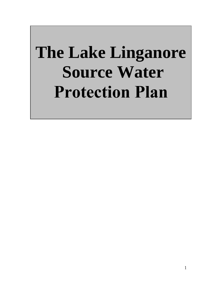# **The Lake Linganore Source Water Protection Plan**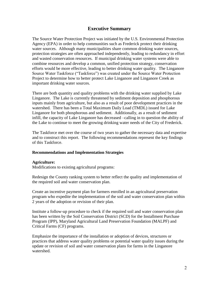# **Executive Summary**

The Source Water Protection Project was initiated by the U.S. Environmental Protection Agency (EPA) in order to help communities such as Frederick protect their drinking water sources. Although many municipalities share common drinking water sources, protection strategies are often approached independently, leading to redundancy in effort and wasted conservation resources. If municipal drinking water systems were able to combine resources and develop a common, unified protection strategy, conservation efforts would be more effective, leading to better drinking water quality. The Linganore Source Water Taskforce ("Taskforce") was created under the Source Water Protection Project to determine how to better protect Lake Linganore and Linganore Creek as important drinking water sources.

There are both quantity and quality problems with the drinking water supplied by Lake Linganore. The Lake is currently threatened by sediment deposition and phosphorous inputs mainly from agriculture, but also as a result of poor development practices in the watershed. There has been a Total Maximum Daily Load (TMDL) issued for Lake Linganore for both phosphorous and sediment. Additionally, as a result of sediment infill, the capacity of Lake Linganore has decreased –calling in to question the ability of the Lake to continue to meet the growing drinking water needs of the City of Frederick.

The Taskforce met over the course of two years to gather the necessary data and expertise and to construct this report. The following recommendations represent the key findings of this Taskforce.

### **Recommendations and Implementation Strategies**

#### **Agriculture:**

Modifications to existing agricultural programs:

Redesign the County ranking system to better reflect the quality and implementation of the required soil and water conservation plan.

Create an incentive payment plan for farmers enrolled in an agricultural preservation program who expedite the implementation of the soil and water conservation plan within 2 years of the adoption or revision of their plan.

Institute a follow-up procedure to check if the required soil and water conservation plan has been written by the Soil Conservation District (SCD) for the Installment Purchase Program (IPP), Maryland Agricultural Land Preservation Foundation (MALPF) and Critical Farms (CF) programs.

Emphasize the importance of the installation or adoption of devices, structures or practices that address water quality problems or potential water quality issues during the update or revision of soil and water conservation plans for farms in the Linganore watershed.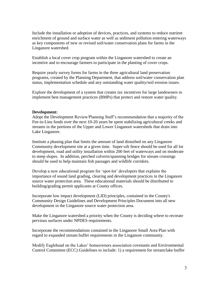Include the installation or adoption of devices, practices, and systems to reduce nutrient enrichment of ground and surface water as well as sediment pollution entering waterways as key components of new or revised soil/water conservation plans for farms in the Linganore watershed.

Establish a local cover crop program within the Linganore watershed to create an incentive and to encourage farmers to participate in the planting of cover crops.

Require yearly survey forms for farms in the three agricultural land preservation programs, created by the Planning Department, that address soil/water conservation plan status, implementation schedule and any outstanding water quality/soil erosion issues.

Explore the development of a system that creates tax incentives for large landowners to implement best management practices (BMPs) that protect and restore water quality.

#### **Development:**

Adopt the Development Review/Planning Staff's recommendation that a majority of the Fee-in-Lieu funds over the next 10-20 years be spent stabilizing agricultural creeks and streams in the portions of the Upper and Lower Linganore watersheds that drain into Lake Linganore.

Institute a phasing plan that limits the amount of land disturbed on any Linganore Community development site at a given time. Super-silt fence should be used for all lot development, road and utility installation within 200 feet of waterways and on moderate to steep slopes. In addition, perched culverts/spanning bridges for stream crossings should be used to help maintain fish passages and wildlife corridors.

Develop a new educational program for 'spot-lot' developers that explains the importance of sound land grading, clearing and development practices in the Linganore source water protection area. These educational materials should be distributed to building/grading permit applicants at County offices.

Incorporate low impact development (LID) principles, contained in the County's Community Design Guidelines and Development Principles Document into all new development in the Linganore source water protection area.

Make the Linganore watershed a priority when the County is deciding where to recreate pervious surfaces under NPDES requirements.

Incorporate the recommendations contained in the Linganore Small Area Plan with regard to expanded stream buffer requirements in the Linganore community.

Modify Eaglehead on the Lakes' homeowners association covenants and Environmental Control Committee (ECC) Guidelines to include: 1) a requirement for stream/lake buffer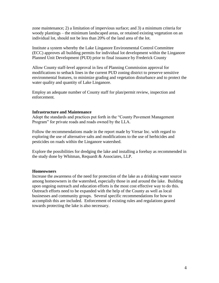zone maintenance; 2) a limitation of impervious surface; and 3) a minimum criteria for woody plantings – the minimum landscaped areas, or retained existing vegetation on an individual lot, should not be less than 20% of the land area of the lot.

Institute a system whereby the Lake Linganore Environmental Control Committee (ECC) approves all building permits for individual lot development within the Linganore Planned Unit Development (PUD) prior to final issuance by Frederick County

Allow County staff-level approval in lieu of Planning Commission approval for modifications to setback lines in the current PUD zoning district to preserve sensitive environmental features, to minimize grading and vegetation disturbance and to protect the water quality and quantity of Lake Linganore.

Employ an adequate number of County staff for plan/permit review, inspection and enforcement.

### **Infrastructure and Maintenance**

Adopt the standards and practices put forth in the "County Pavement Management" Program" for private roads and roads owned by the LLA.

Follow the recommendations made in the report made by Versar Inc. with regard to exploring the use of alternative salts and modifications to the use of herbicides and pesticides on roads within the Linganore watershed.

Explore the possibilities for dredging the lake and installing a forebay as recommended in the study done by Whitman, Requardt & Associates, LLP.

#### **Homeowners**

Increase the awareness of the need for protection of the lake as a drinking water source among homeowners in the watershed, especially those in and around the lake. Building upon ongoing outreach and education efforts is the most cost effective way to do this. Outreach efforts need to be expanded with the help of the County as well as local businesses and community groups. Several specific recommendations for how to accomplish this are included. Enforcement of existing rules and regulations geared towards protecting the lake is also necessary.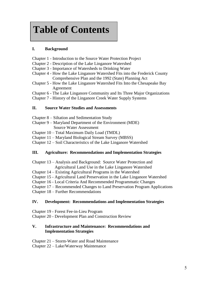# **Table of Contents**

# **I. Background**

- Chapter 1 Introduction to the Source Water Protection Project
- Chapter 2 Description of the Lake Linganore Watershed
- Chapter 3 Importance of Watersheds to Drinking Water
- Chapter 4 How the Lake Linganore Watershed Fits into the Frederick County Comprehensive Plan and the 1992 (State) Planning Act
- Chapter 5 How the Lake Linganore Watershed Fits Into the Chesapeake Bay Agreement

Chapter 6 - The Lake Linganore Community and Its Three Major Organizations

Chapter 7 - History of the Linganore Creek Water Supply Systems

# **II. Source Water Studies and Assessments**

- Chapter 8 Siltation and Sedimentation Study
- Chapter 9 Maryland Department of the Environment (MDE) Source Water Assessment
- Chapter 10 Total Maximum Daily Load (TMDL)
- Chapter 11 Maryland Biological Stream Survey (MBSS)
- Chapter 12 Soil Characteristics of the Lake Linganore Watershed

# **III. Agriculture: Recommendations and Implementation Strategies**

- Chapter 13 Analysis and Background: Source Water Protection and Agricultural Land Use in the Lake Linganore Watershed
- Chapter 14 Existing Agricultural Programs in the Watershed
- Chapter 15 Agricultural Land Preservation in the Lake Linganore Watershed
- Chapter 16 Local Criteria And Recommended Programmatic Changes
- Chapter 17 Recommended Changes to Land Preservation Program Applications

Chapter 18 – Further Recommendations

# **IV. Development: Recommendations and Implementation Strategies**

Chapter 19 - Forest Fee-in-Lieu Program

Chapter 20 - Development Plan and Construction Review

# **V. Infrastructure and Maintenance: Recommendations and Implementation Strategies**

Chapter 21 – Storm-Water and Road Maintenance Chapter 22 – Lake/Waterway Maintenance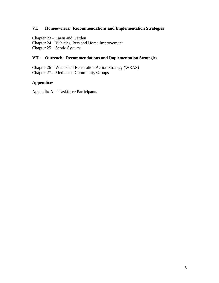# **VI. Homeowners: Recommendations and Implementation Strategies**

Chapter 23 – Lawn and Garden Chapter 24 – Vehicles, Pets and Home Improvement Chapter 25 – Septic Systems

# **VII. Outreach: Recommendations and Implementation Strategies**

Chapter 26 – Watershed Restoration Action Strategy (WRAS) Chapter 27 – Media and Community Groups

### **Appendices**

Appendix A – Taskforce Participants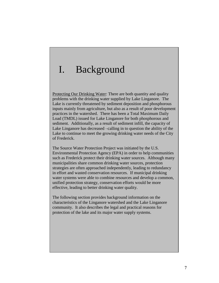# I. Background

Protecting Our Drinking Water: There are both quantity and quality problems with the drinking water supplied by Lake Linganore. The Lake is currently threatened by sediment deposition and phosphorous inputs mainly from agriculture, but also as a result of poor development practices in the watershed. There has been a Total Maximum Daily Load (TMDL) issued for Lake Linganore for both phosphorous and sediment. Additionally, as a result of sediment infill, the capacity of Lake Linganore has decreased –calling in to question the ability of the Lake to continue to meet the growing drinking water needs of the City of Frederick.

The Source Water Protection Project was initiated by the U.S. Environmental Protection Agency (EPA) in order to help communities such as Frederick protect their drinking water sources. Although many municipalities share common drinking water sources, protection strategies are often approached independently, leading to redundancy in effort and wasted conservation resources. If municipal drinking water systems were able to combine resources and develop a common, unified protection strategy, conservation efforts would be more effective, leading to better drinking water quality.

The following section provides background information on the characteristics of the Linganore watershed and the Lake Linganore community. It also describes the legal and practical reasons for protection of the lake and its major water supply systems.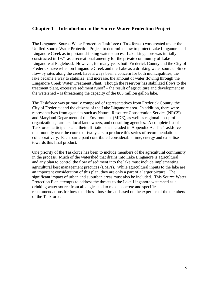# **Chapter 1 – Introduction to the Source Water Protection Project**

The Linganore Source Water Protection Taskforce ("Taskforce") was created under the Unified Source Water Protection Project to determine how to protect Lake Linganore and Linganore Creek as important drinking water sources. Lake Linganore was initially constructed in 1971 as a recreational amenity for the private community of Lake Linganore at Eaglehead. However, for many years both Frederick County and the City of Frederick have relied on Linganore Creek and the Lake as a drinking water source. Since flow-by rates along the creek have always been a concern for both municipalities, the lake became a way to stabilize, and increase, the amount of water flowing through the Linganore Creek Water Treatment Plant. Though the reservoir has stabilized flows to the treatment plant, excessive sediment runoff – the result of agriculture and development in the watershed – is threatening the capacity of the 883 million gallon lake.

The Taskforce was primarily composed of representatives from Frederick County, the City of Frederick and the citizens of the Lake Linganore area. In addition, there were representatives from agencies such as Natural Resource Conservation Service (NRCS) and Maryland Department of the Environment (MDE), as well as regional non-profit organizations, farmers, local landowners, and consulting agencies. A complete list of Taskforce participants and their affiliations is included in Appendix A. The Taskforce met monthly over the course of two years to produce this series of recommendations collaboratively. Each participant contributed considerable time, energy and expertise towards this final product.

One priority of the Taskforce has been to include members of the agricultural community in the process. Much of the watershed that drains into Lake Linganore is agricultural, and any plan to control the flow of sediment into the lake must include implementing agricultural best management practices (BMPs). While agricultural inputs to the lake are an important consideration of this plan, they are only a part of a larger picture. The significant impact of urban and suburban areas must also be included. This Source Water Protection Plan attempts to address the threats to the Lake Linganore watershed as a drinking water source from all angles and to make concrete and specific recommendations for how to address those threats based on the expertise of the members of the Taskforce.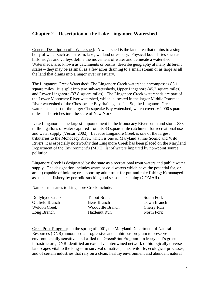# **Chapter 2 – Description of the Lake Linganore Watershed**

General Description of a Watershed: A watershed is the land area that drains to a single body of water such as a stream, lake, wetland or estuary. Physical boundaries such as hills, ridges and valleys define the movement of water and delineate a watershed. Watersheds, also known as catchments or basins, describe geography at many different scales – they may be as small as a few acres draining to a small stream or as large as all the land that drains into a major river or estuary.

The Linganore Creek Watershed: The Linganore Creek watershed encompasses 83.1 square miles. It is split into two sub-watersheds, Upper Linganore (45.3 square miles) and Lower Linganore (37.8 square miles). The Linganore Creek watersheds are part of the Lower Monocacy River watershed, which is located in the larger Middle Potomac River watershed of the Chesapeake Bay drainage basin. So, the Linganore Creek watershed is part of the larger Chesapeake Bay watershed, which covers 64,000 square miles and stretches into the state of New York.

Lake Linganore is the largest impoundment in the Monocacy River basin and stores 883 million gallons of water captured from its 83 square mile catchment for recreational use and water supply (Versar, 2002). Because Linganore Creek is one of the largest tributaries to the Monocacy River, which is one of Maryland's nine Scenic and Wild Rivers, it is especially noteworthy that Linganore Creek has been placed on the Maryland Department of the Environment's (MDE) list of waters impaired by non-point source pollution.

Linganore Creek is designated by the state as a recreational trout waters and public water supply. The designation includes warm or cold waters which have the potential for, or are: a) capable of holding or supporting adult trout for put-and-take fishing; b) managed as a special fishery by periodic stocking and seasonal catching (COMAR).

Named tributaries to Linganore Creek include:

| Dollyhyde Creek     | <b>Talbot Branch</b>    | South Fork         |
|---------------------|-------------------------|--------------------|
| Oldfield Branch     | Bens Branch             | <b>Town Branch</b> |
| <b>Weldon Creek</b> | <b>Woodville Branch</b> | Cherry Run         |
| Long Branch         | Hazlenut Run            | North Fork         |
|                     |                         |                    |

GreenPrint Program: In the spring of 2001, the Maryland Department of Natural Resources (DNR) announced a progressive and ambitious program to preserve environmentally sensitive land called the GreenPrint Program. In Maryland's green infrastructure, DNR identified an extensive intertwined network of biologically diverse landscapes vital to the long-term survival of native plants, wildlife, ecological processes, and of certain industries that rely on a clean, healthy environment and abundant natural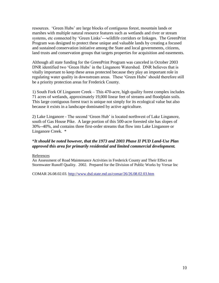resources. ‗Green Hubs' are large blocks of contiguous forest, mountain lands or marshes with multiple natural resource features such as wetlands and river or stream systems, etc connected by 'Green Links'---wildlife corridors or linkages. The GreenPrint Program was designed to protect these unique and valuable lands by creating a focused and sustained conservation initiative among the State and local governments, citizens, land trusts and conservation groups that targets properties for acquisition and easements.

Although all state funding for the GreenPrint Program was canceled in October 2003 DNR identified two 'Green Hubs' in the Linganore Watershed. DNR believes that is vitally important to keep these areas protected because they play an important role in regulating water quality in downstream areas. These 'Green Hubs' should therefore still be a priority protection areas for Frederick County.

1) South Fork Of Linganore Creek – This 470-acre, high quality forest complex includes 71 acres of wetlands, approximately 19,000 linear feet of streams and floodplain soils. This large contiguous forest tract is unique not simply for its ecological value but also because it exists in a landscape dominated by active agriculture.

2) Lake Linganore - The second ‗Green Hub' is located northwest of Lake Linganore, south of Gas House Pike. A large portion of this 500-acre forested site has slopes of 30%--40%, and contains three first-order streams that flow into Lake Linganore or Linganore Creek. \*

# \**It should be noted however, that the 1973 and 2003 Phase II PUD Land-Use Plan approved this area for primarily residential and limited commercial development.*

### References

An Assessment of Road Maintenance Activities in Frederick County and Their Effect on Stormwater Runoff Quality. 2002. Prepared for the Division of Public Works by Versar Inc

COMAR 26.08.02.03.<http://www.dsd.state.md.us/comar/26/26.08.02.03.htm>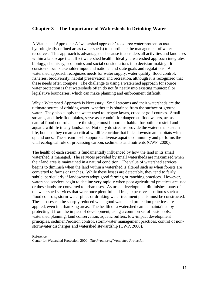# **Chapter 3 – The Importance of Watersheds to Drinking Water**

A Watershed Approach: A 'watershed approach' to source water protection uses hydrologically defined areas (watersheds) to coordinate the management of water resources. This approach is advantageous because it considers all activities and land uses within a landscape that affect watershed health. Ideally, a watershed approach integrates biology, chemistry, economics and social considerations into decision-making. It considers local stakeholder input and national and state goals and regulations. A watershed approach recognizes needs for water supply, water quality, flood control, fisheries, biodiversity, habitat preservation and recreation, although it is recognized that these needs often compete. The challenge to using a watershed approach for source water protection is that watersheds often do not fit neatly into existing municipal or legislative boundaries, which can make planning and enforcement difficult.

Why a Watershed Approach is Necessary: Small streams and their watersheds are the ultimate source of drinking water, whether it is obtained from the surface or ground water. They also supply the water used to irrigate lawns, crops or golf courses. Small streams, and their floodplains, serve as a conduit for dangerous floodwaters, act as a natural flood control and are the single most important habitat for both terrestrial and aquatic wildlife in any landscape. Not only do streams provide the waters that sustain life, but also they create a critical wildlife corridor that links downstream habitats with upland ones. The stream itself supports a diverse aquatic community and performs the vital ecological role of processing carbon, sediments and nutrients (CWP, 2000).

The health of each stream is fundamentally influenced by how the land in its small watershed is managed. The services provided by small watersheds are maximized when their land area is maintained in a natural condition. The value of watershed services begins to diminish when the land within a watershed is altered such as when forests are converted to farms or ranches. While these losses are detectable, they tend to fairly subtle, particularly if landowners adopt good farming or ranching practices. However, watershed services begin to decline very rapidly when poor agricultural practices are used or these lands are converted to urban uses. As urban development diminishes many of the watershed services that were once plentiful and free, expensive substitutes such as flood controls, storm-water pipes or drinking water treatment plants must be constructed. These losses can be sharply reduced when good watershed protection practices are applied, even in urbanizing areas. The health of a watershed can be maintained by protecting it from the impact of development, using a common set of basic tools: watershed planning, land conservation, aquatic buffers, low-impact development principles, sediment/erosion control, storm-water management practices, control of nonstormwater discharges and watershed stewardship (CWP, 2000).

Reference

Center for Watershed Protection. 2000*. The Practice of Watershed Protection*.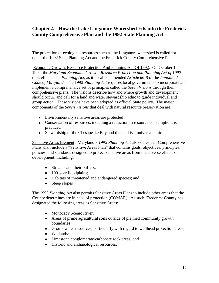# **Chapter 4 – How the Lake Linganore Watershed Fits into the Frederick County Comprehensive Plan and the 1992 State Planning Act**

The protection of ecological resources such as the Linganore watershed is called for under the 1992 State Planning Act and the Frederick County Comprehensive Plan.

Economic Growth, Resource Protection And Planning Act Of 1992: On October 1, 1992, the *Maryland Economic Growth, Resource Protection and Planning Act of 1992* took effect. The *Planning Act*, as it is called, amended *Article 66 B* of the *Annotated Code of Maryland*. The 1992 *Planning Act* requires local governments to incorporate and implement a comprehensive set of principles called the *Seven Visions* through their comprehensive plans. The visions describe how and where growth and development should occur, and call for a land and water stewardship ethic to guide individual and group action. These visions have been adopted as official State policy. The major components of the *Seven Visions* that deal with natural resource preservation are:

- Environmentally sensitive areas are protected
- Conservation of resources, including a reduction in resource consumption, is practiced
- Stewardship of the Chesapeake Bay and the land is a universal ethic

Sensitive Areas Element: Maryland's *1992 Planning Act* also states that Comprehensive Plans shall include a "Sensitive Areas Plan" that contains goals, objectives, principles, policies, and standards designed to protect sensitive areas from the adverse effects of development, including:

- Streams and their buffers;
- 100-year floodplains;
- Habitats of threatened and endangered species; and
- Steep slopes

The *1992 Planning Act* also permits Sensitive Areas Plans to include other areas that the County determines are in need of protection (COMAR). As such, Frederick County has designated the following areas as Sensitive Areas:

- Monocacy Scenic River;
- Areas of prime agricultural soils outside of planned community growth boundaries;
- Groundwater resources, particularly with regard to wellhead protection areas;
- Wetlands;
- Limestone conglomerate/carbonate rock areas; and
- Historic and archaeological resources.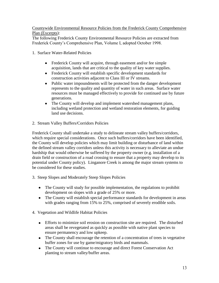Countywide Environmental Resource Policies from the Frederick County Comprehensive Plan (Excerpts):

The following Frederick County Environmental Resource Policies are extracted from Frederick County's Comprehensive Plan, Volume I, adopted October 1998.

- 1. Surface Water-Related Policies
	- Frederick County will acquire, through easement and/or fee simple acquisition, lands that are critical to the quality of key water supplies.
	- Frederick County will establish specific development standards for construction activities adjacent to Class III or IV streams.
	- Public water impoundments will be protected from the danger development  $\bullet$ represents to the quality and quantity of water in such areas. Surface water resources must be managed effectively to provide for continued use by future generations.
	- The County will develop and implement watershed management plans, including wetland protection and wetland restoration elements, for guiding land use decisions.
- 2. Stream Valley Buffers/Corridors Policies

Frederick County shall undertake a study to delineate stream valley buffers/corridors, which require special considerations. Once such buffers/corridors have been identified, the County will develop policies which may limit building or disturbance of land within the defined stream valley corridors unless this activity is necessary to alleviate an undue hardship that would otherwise be suffered by the property owner (e.g. installation of a drain field or construction of a road crossing to ensure that a property may develop to its potential under County policy). Linganore Creek is among the major stream systems to be considered for these studies.

- 3. Steep Slopes and Moderately Steep Slopes Policies
	- The County will study for possible implementation, the regulations to prohibit development on slopes with a grade of 25% or more.
	- The County will establish special performance standards for development in areas with grades ranging from 15% to 25%, comprised of severely erodible soils.
- 4. Vegetation and Wildlife Habitat Policies
	- Efforts to minimize soil erosion on construction site are required. The disturbed areas shall be revegetated as quickly as possible with native plant species to ensure permanency and low upkeep.
	- The County shall encourage the retention of a concentration of trees in vegetative buffer zones for use by game/migratory birds and mammals.
	- The County will continue to encourage and direct Forest Conservation Act planting to stream valley/buffer areas.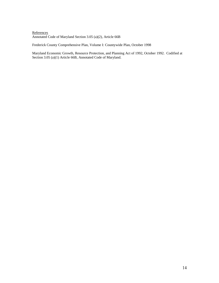#### **References** Annotated Code of Maryland Section 3.05 (a)(2), Article 66B

Frederick County Comprehensive Plan, Volume I: Countywide Plan, October 1998

Maryland Economic Growth, Resource Protection, and Planning Act of 1992, October 1992. Codified at Section 3.05 (a)(1) Article 66B, Annotated Code of Maryland.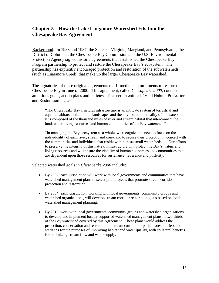# **Chapter 5 – How the Lake Linganore Watershed Fits Into the Chesapeake Bay Agreement**

Background: In 1983 and 1987, the States of Virginia, Maryland, and Pennsylvania, the District of Columbia, the Chesapeake Bay Commission and the U.S. Environmental Protection Agency signed historic agreements that established the Chesapeake Bay Program partnership to protect and restore the Chesapeake Bay's ecosystem. The partnership has explicitly encouraged protection and restoration of the subwatersheds (such as Linganore Creek) that make up the larger Chesapeake Bay watershed.

The signatories of these original agreements reaffirmed the commitments to restore the Chesapeake Bay in June of 2000. This agreement, called *Chesapeake 2000*, contains ambitious goals, action plans and policies. The section entitled, ‗Vital Habitat Protection and Restoration' states:

―The Chesapeake Bay's natural infrastructure is an intricate system of terrestrial and aquatic habitats, linked to the landscapes and the environmental quality of the watershed. It is composed of the thousand miles of river and stream habitat that interconnect the land, water, living resources and human communities of the Bay watershed."

―In managing the Bay ecosystem as a whole, we recognize the need to focus on the individuality of each river, stream and creek and to secure their protection in concert with the communities and individuals that reside within these small watersheds…. Our efforts to preserve the integrity of this natural infrastructure will protect the Bay's waters and living resources and will ensure the viability of human economies and communities that are dependent upon those resources for sustenance, reverence and posterity."

Selected watershed goals in *Chesapeake 2000* include:

- By 2002, each jurisdiction will work with local governments and communities that have watershed management plans to select pilot projects that promote stream corridor protection and restoration.
- By 2004, each jurisdiction, working with local governments, community groups and watershed organizations, will develop stream corridor restoration goals based on local watershed management planning.
- By 2010, work with local governments, community groups and watershed organizations to develop and implement locally supported watershed management plans in two-thirds of the Bay watershed covered by this Agreement. These plans would address the protection, conservation and restoration of stream corridors, riparian forest buffers and wetlands for the purposes of improving habitat and water quality, with collateral benefits for optimizing stream flow and water supply.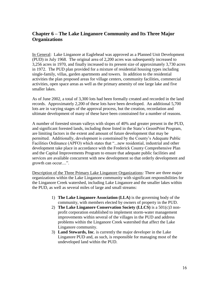# **Chapter 6 – The Lake Linganore Community and Its Three Major Organizations**

In General: Lake Linganore at Eaglehead was approved as a Planned Unit Development (PUD) in July 1968. The original area of 2,200 acres was subsequently increased to 3,256 acres in 1970, and finally increased to its present size of approximately 3,730 acres in 1972. The PUD plan provided for a mixture of residential housing types including single-family, villas, garden apartments and towers. In addition to the residential activities the plan proposed areas for village centers, community facilities, commercial activities, open space areas as well as the primary amenity of one large lake and five smaller lakes.

As of June 2002, a total of 3,300 lots had been formally created and recorded in the land records. Approximately 2,200 of these lots have been developed. An additional 5,700 lots are in varying stages of the approval process, but the creation, recordation and ultimate development of many of these have been constrained for a number of reasons.

A number of forested stream valleys with slopes of 40% and greater present in the PUD, and significant forested lands, including those listed in the State's GreenPrint Program, are limiting factors in the extent and amount of future development that may be permitted. Additionally, development is constrained by the County's Adequate Public Facilities Ordinance (APFO) which states that "...new residential, industrial and other development take place in accordance with the Frederick County Comprehensive Plan and the Capital Improvements Program to ensure that adequate public facilities and services are available concurrent with new development so that orderly development and growth can occur....".

Description of the Three Primary Lake Linganore Organizations: There are three major organizations within the Lake Linganore community with significant responsibilities for the Linganore Creek watershed, including Lake Linganore and the smaller lakes within the PUD, as well as several miles of large and small streams:

- 1) **The Lake Linganore Association (LLA)** is the governing body of the community, with members elected by owners of property in the PUD.
- 2) **The Lake Linganore Conservation Society (LLCS)** is a 501(c)3 nonprofit corporation established to implement storm-water management improvements within several of the villages in the PUD and address problems within the Linganore Creek watershed that affect the Lake Linganore community.
- 3) **Land Stewards, Inc**. is currently the major developer in the Lake Linganore PUD and, as such, is responsible for managing most of the undeveloped land within the PUD.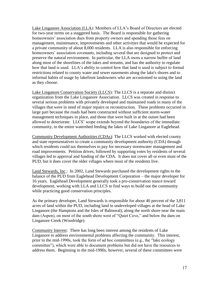Lake Linganore Association (LLA): Members of LLA's Board of Directors are elected for two-year terms on a staggered basis. The Board is responsible for gathering homeowners' association dues from property owners and spending those fees on management, maintenance, improvements and other activities that would be expected for a private community of about 8,000 residents. LLA is also responsible for enforcing homeowners' association covenants, including several that are designed to protect and preserve the natural environment. In particular, the LLA owns a narrow buffer of land along most of the shorelines of the lakes and streams, and has the authority to regulate how that land is used. LLA's ability to control how that land is used is subject to formal restrictions related to county water and sewer easements along the lake's shores and to informal habits of usage by lakefront landowners who are accustomed to using the land as they choose.

Lake Linganore Conservation Society (LLCS): The LLCS is a separate and distinct organization from the Lake Linganore Association. LLCS was created in response to several serious problems with privately developed and maintained roads in many of the villages that were in need of major repairs or reconstruction. These problems occurred in large part because the roads had been constructed without sufficient storm-water management techniques in place, and those that were built in at the outset had been allowed to deteriorate. LLCS' scope extends beyond the boundaries of the immediate community, to the entire watershed feeding the lakes of Lake Linganore at Eaglehead.

Community Development Authorities (CDAs): The LLCS worked with elected county and state representatives to create a community development authority (CDA) through which residents could tax themselves to pay for necessary stormwater management and road improvements. Petition drives, followed by supporting votes by residents of several villages led to approval and funding of the CDA. It does not cover all or even most of the PUD, but it does cover the older villages where most of the residents live.

Land Stewards, Inc.: In 2002, Land Stewards purchased the development rights to the balance of the PUD from Eaglehead Development Corporation – the major developer for 16 years. Eaglehead Development generally took a pro-conservation stance toward development, working with LLA and LLCS to find ways to build out the community while practicing good conservation principles.

As the primary developer, Land Stewards is responsible for about 40 percent of the 3,811 acres of land within the PUD, including land in undeveloped villages at the head of Lake Linganore (the Hamptons and the Isles of Balmoral), along the north shore near the main dam (Aspen), on most of the south shore west of "Quiet Cove," and below the dam on Linganore Creek (Woodridge).

Community Interest: There has long been interest among the residents of Lake Linganore to address environmental problems affecting the community. This interest, prior to the mid-1990s, took the form of ad hoc committees (e.g., the "lake ecology committee"), which were able to document problems but did not have the resources to address them. Beginning in the mid-1990s, however, several of these committees were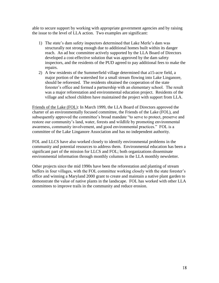able to secure support by working with appropriate government agencies and by raising the issue to the level of LLA action. Two examples are significant:

- 1) The state's dam safety inspectors determined that Lake Merle's dam was structurally not strong enough due to additional homes built within its danger reach. An ad hoc committee actively supported by the LLA Board of Directors developed a cost-effective solution that was approved by the dam safety inspectors, and the residents of the PUD agreed to pay additional fees to make the repairs.
- 2) A few residents of the Summerfield village determined that a15-acre field, a major portion of the watershed for a small stream flowing into Lake Linganore, should be reforested. The residents obtained the cooperation of the state forester's office and formed a partnership with an elementary school. The result was a major reforestation and environmental education project. Residents of the village and school children have maintained the project with support from LLA.

Friends of the Lake (FOL): In March 1999, the LLA Board of Directors approved the charter of an environmentally focused committee, the Friends of the Lake (FOL), and subsequently approved the committee's broad mandate "to serve to protect, preserve and restore our community's land, water, forests and wildlife by promoting environmental awareness, community involvement, and good environmental practices." FOL is a committee of the Lake Linganore Association and has no independent authority.

FOL and LLCS have also worked closely to identify environmental problems in the community and potential resources to address them. Environmental education has been a significant part of the mission for LLCS and FOL; both organizations disseminate environmental information through monthly columns in the LLA monthly newsletter.

Other projects since the mid 1990s have been the reforestation and planting of stream buffers in four villages, with the FOL committee working closely with the state forester's office and winning a Maryland 2000 grant to create and maintain a native plant garden to demonstrate the value of native plants in the landscape. FOL has worked with other LLA committees to improve trails in the community and reduce erosion.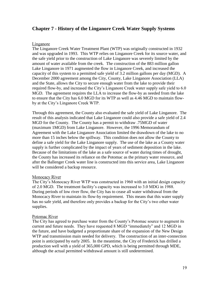# **Chapter 7 - History of the Linganore Creek Water Supply Systems**

### Linganore

The Linganore Creek Water Treatment Plant (WTP) was originally constructed in 1932 and was upgraded in 1993. This WTP relies on Linganore Creek for its source water, and the safe yield prior to the construction of Lake Linganore was severely limited by the amount of water available from the creek. The construction of the 883 million gallon Lake Linganore in 1971 augmented the flow in Linganore Creek, and increased the capacity of this system to a permitted safe yield of 3.2 million gallons per day (MGD). A December 2000 agreement among the City, County, Lake Linganore Association (LLA) and the State, allows the City to secure enough water from the lake to provide their required flow-by, and increased the City's Linganore Creek water supply safe yield to 6.0 MGD. The agreement requires the LLA to increase the flow-by as needed from the lake to ensure that the City has 6.0 MGD for its WTP as well as 4.46 MGD to maintain flowby at the City's Linganore Creek WTP.

Through this agreement, the County also evaluated the safe yield of Lake Linganore. The result of this analysis indicated that Lake Linganore could also provide a safe yield of 2.4 MGD for the County. The County has a permit to withdraw .75MGD of water (maximum 1MGD) from Lake Linganore. However, the 1996 Memorandum of Agreement with the Lake Linganore Association limited the drawdown of the lake to no more than 15 inches below the spillway. This condition does not allow the County to define a safe yield for the Lake Linganore supply. The use of the lake as a County water supply is further complicated by the impact of years of sediment deposition in the lake. Because of the limitations of the lake as a safe source of water during times of drought, the County has increased its reliance on the Potomac as the primary water resource, and after the Ballenger Creek water line is constructed into this service area, Lake Linganore will be considered a backup resource.

### **Monocacy River**

The City's Monocacy River WTP was constructed in 1960 with an initial design capacity of 2.0 MGD. The treatment facility's capacity was increased to 3.0 MDG in 1988. During periods of low river flow, the City has to cease all water withdrawal from the Monocacy River to maintain its flow-by requirement. This means that this water supply has no safe yield, and therefore only provides a backup for the City's two other water supplies.

### Potomac River

The City has agreed to purchase water from the County's Potomac source to augment its current and future needs. They have requested 8 MGD "immediately" and 12 MGD in the future, and have budgeted a proportionate share of the expansion of the New Design WTP and transmission main needed for delivery. The construction of an inter-connection point is anticipated by early 2005. In the meantime, the City of Frederick has drilled a production well with a yield of 365,000 GPD, which is being permitted through MDE, although the actual permitted withdrawal amount is still undetermined.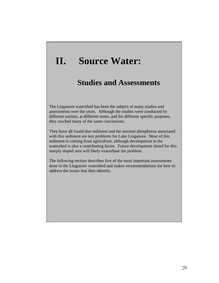# **II. Source Water:**

# **Studies and Assessments**

The Linganore watershed has been the subject of many studies and assessments over the years. Although the studies were conducted by different entities, at different times, and for different specific purposes, they reached many of the same conclusions.

They have all found that sediment and the nutrient phosphorus associated with this sediment are key problems for Lake Linganore. Most of this sediment is coming from agriculture, although development in the watershed is also a contributing factor. Future development slated for this steeply sloped area will likely exacerbate the problem.

The following section describes five of the most important assessments done in the Linganore watershed and makes recommendations for how to address the issues that they identify.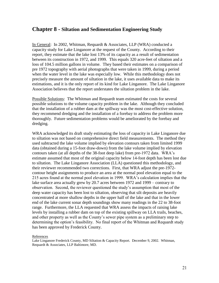# **Chapter 8 - Siltation and Sedimentation Engineering Study**

In General: In 2002, Whitman, Requardt & Associates, LLP (WRA) conducted a capacity study for Lake Linganore at the request of the County. According to their report, they estimate that the lake lost 13% of its capacity as a result of sedimentation between its construction in 1972, and 1999. This equals 320 acre-feet of siltation and a loss of 104.5 million gallons in volume. They based their estimates on a comparison of pre 1972 topography with aerial photographs that were taken in 1999, during a period when the water level in the lake was especially low. While this methodology does not precisely measure the amount of siltation in the lake, it uses available data to make its estimations, and it is the only report of its kind for Lake Linganore. The Lake Linganore Association believes that the report understates the siltation problem in the lake.

Possible Solutions: The Whitman and Requardt team estimated the costs for several possible solutions to the volume capacity problem in the lake. Although they concluded that the installation of a rubber dam at the spillway was the most cost-effective solution, they recommend dredging and the installation of a forebay to address the problem more thoroughly. Future sedimentation problems would be ameliorated by the forebay and dredging.

WRA acknowledged its draft study estimating the loss of capacity in Lake Linganore due to siltation was not based on comprehensive direct field measurements. The method they used subtracted the lake volume implied by elevation contours taken from limited 1999 data (obtained during a 15-foot draw-down) from the lake volume implied by elevation contours taken (at all depths of the 38-foot deep lake) from pre-1972 data. WRA's estimate assumed that most of the original capacity below 14-foot depth has been lost due to siltation. The Lake Linganore Association (LLA) questioned this methodology, and their reviewer recommended two corrections. First, that WRA adjust the pre-1972 contour height assignments to produce an area at the normal pool elevation equal to the 215 acres found at the normal pool elevation in 1999. WRA's calculation implies that the lake surface area actually grew by 20.7 acres between 1972 and 1999 – contrary to observation. Second, the reviewer questioned the study's assumption that most of the deep water capacity has been lost to siltation, observing that silt deposits are heavily concentrated at more shallow depths in the upper half of the lake and that in the lower end of the lake current sonar depth soundings show many readings in the 22 to 38-foot range. Furthermore, the LLA requested that WRA assess the impacts of raising lake levels by installing a rubber dam on top of the existing spillway on LLA trails, beaches, and other property as well as the County's sewer pipe system as a preliminary step to determining the option's feasibility. No final report of the Whitman and Requardt study has been approved by Frederick County.

References

Lake Linganore Frederick County, MD Siltation & Capacity Report. December 9, 2002. Whitman, Requardt & Associates, LLP Baltimore, MD.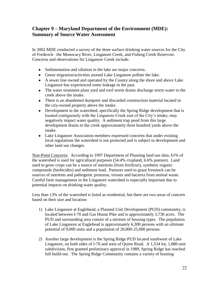# **Chapter 9 – Maryland Department of the Environment (MDE): Summary of Source Water Assessment**

In 2002 MDE conducted a survey of the three surface drinking water sources for the City of Frederick– the Monocacy River, Linganore Creek, and Fishing Creek Reservoir. Concerns and observations for Linganore Creek include:

- Sedimentation and siltation in the lake are major concerns.
- Geese migration/activities around Lake Linganore pollute the lake.
- A sewer line owned and operated by the County along the shore and above Lake Linganore has experienced some leakage in the past.
- The water treatment plant yard and roof storm drains discharge storm water to the creek above the intake.
- There is an abandoned dumpster and discarded construction material located in the city-owned property above the intake.
- Development in the watershed, specifically the Spring Ridge development that is located contiguously with the Linganore Creek east of the City's intake, may negatively impact water quality. A sediment trap pond from this large development drains to the creek approximately three hundred yards above the intake.
- Lake Linganore Association members expressed concerns that under existing local regulations the watershed is not protected and is subject to development and other land use changes.

Non-Point Concerns: According to 1997 Department of Planning land use data, 61% of the watershed is used for agricultural purposes (54.4% cropland, 6.6% pasture). Land used to grow crops can be a source of nutrients (from fertilizer), synthetic organic compounds (herbicides) and sediment load. Pastures used to graze livestock can be sources of nutrients and pathogenic protozoa, viruses and bacteria from animal waste. Careful farm management in the Linganore watershed is especially important due to potential impacts on drinking water quality.

Less than 13% of the watershed is listed as residential, but there are two areas of concern based on their size and location:

- 1) Lake Linganore at Eaglehead, a Planned Unit Development (PUD) community, is located between I-70 and Gas House Pike and is approximately 3,730 acres. The PUD and surrounding area consist of a mixture of housing types. The population of Lake Linganore at Eaglehead is approximately 6,300 persons with an ultimate potential of 9,000 units and a population of 20,000-25,000 persons.
- 2) Another large development is the Spring Ridge PUD located southwest of Lake Linganore, on both sides of I-70 and west of Quinn Road. A 1,534 lot, 1,880-unit subdivision, first granted preliminary approval in 1989, Spring Ridge has reached full build-out. The Spring Ridge Community contains a variety of housing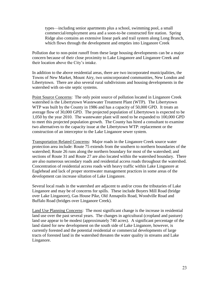types—including senior apartments plus a school, swimming pool, a small commercial/employment area and a soon-to-be constructed fire station. Spring Ridge also contains an extensive linear park and trail system along Long Branch, which flows through the development and empties into Linganore Creek

Pollution due to non-point runoff from these large housing developments can be a major concern because of their close proximity to Lake Linganore and Linganore Creek and their location above the City's intake.

In addition to the above residential areas, there are two incorporated municipalities, the Towns of New Market, Mount Airy, two unincorporated communities, New London and Libertytown. There are also several rural subdivisions and housing developments in the watershed with on-site septic systems.

Point Source Concerns: The only point source of pollution located in Linganore Creek watershed is the Libertytown Wastewater Treatment Plant (WTP). The Libertytown WTP was built by the County in 1986 and has a capacity of 50,000 GPD. It treats an average flow of 30,000 GPD. The projected population of Libertytown is expected to be 1,050 by the year 2010. The wastewater plant will need to be expanded to 100,000 GPD to meet this projected population growth. The County has hired a consultant to examine two alternatives to the capacity issue at the Libertytown WTP: replacement or the construction of an interceptor to the Lake Linganore sewer system.

Transportation Related Concerns: Major roads in the Linganore Creek source water protection area include: Route 75 extends from the southern to northern boundaries of the watershed; Route 26 runs along the northern boundary for most of the watershed; and sections of Route 31 and Route 27 are also located within the watershed boundary. There are also numerous secondary roads and residential access roads throughout the watershed. Concentration of residential access roads with heavy traffic within Lake Linganore at Eaglehead and lack of proper stormwater management practices in some areas of the development can increase siltation of Lake Linganore.

Several local roads in the watershed are adjacent to and/or cross the tributaries of Lake Linganore and may be of concerns for spills. These include Boyers Mill Road (bridge over Lake Linganore), Gas House Pike, Old Annapolis Road, Woodville Road and Buffalo Road (bridges over Linganore Creek).

Land Use Planning Concerns: The most significant change is the increase in residential land use over the past several years. The changes in agricultural (cropland and pasture) land use appear to be modest (approximately 740 acres). A significant percentage of the land slated for new development on the south side of Lake Linganore, however, is currently forested and the potential residential or commercial developments of large tracts of forested land in the watershed threaten the water quality in streams and Lake Linganore.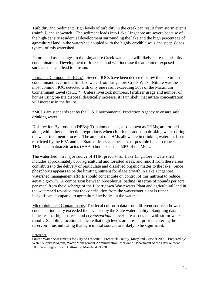Turbidity and Sediment: High levels of turbidity in the creek can result from storm events (rainfall) and snowmelt. The sediment loads into Lake Linganore are severe because of the high-density residential development surrounding the lake and the high percentage of agricultural land in the watershed coupled with the highly erodible soils and steep slopes typical of this watershed.

Future land use changes in the Linganore Creek watershed will likely increase turbidity contamination. Development of forested land will increase the amount of exposed surfaces that can lead to erosion.

Inorganic Compounds (IOCs): Several IOCs have been detected below the maximum contaminant level in the finished water from Linganore Creek WTP. Nitrate was the most common IOC detected with only one result exceeding 50% of the Maximum Contaminant Level (MCL)\*. Unless livestock numbers, fertilizer usage and number of homes using on-site disposal drastically increase, it is unlikely that nitrate concentration will increase in the future.

\*MCLs are standards set by the U.S. Environmental Protection Agency to ensure safe drinking water.

Disinfection Byproducts (DPBs): Trihalomethanes, also known as THMs, are formed along with other disinfection byproducts when chlorine is added to drinking water during the water treatment process. The amount of THMs allowable in drinking water has been restricted by the EPA and the State of Maryland because of possible links to cancer. THMs and haloacetic acids (HAAs) both exceeded 50% of the MCL.

The watershed is a major source of THM precursors. Lake Linganore's watershed includes approximately 86% agricultural and forested areas, and runoff from these areas contributes to the delivery of particulate and dissolved organic matter to the lake. Since phosphorus appears to be the limiting nutrient for algae growth in Lake Linganore, watershed management efforts should concentrate on control of this nutrient to reduce aquatic growth. A comparison between phosphorus loading (in terms of pounds per acre per year) from the discharge of the Libertytown Wastewater Plant and agricultural land in the watershed revealed that the contribution from the wastewater plant is rather insignificant compared to agricultural activities in the watershed.

Microbiological Contaminants: The fecal coliform data from different sources shows that counts periodically exceeded the level set by the State water quality. Sampling data indicates that highest fecal and *cryptosporidium* levels are associated with storm-water runoff. Sampling locations indicate that high levels are present prior to entering the reservoir, thus indicating that agricultural sources are likely to be significant.

#### Reference

Source Water Assessments for City of Frederick. Frederick County, Maryland October 2002. Prepared by: Water Supply Program, Water Management Administration, Maryland Department of the Environment 1800 Washington Blvd. Baltimore, Maryland 21230.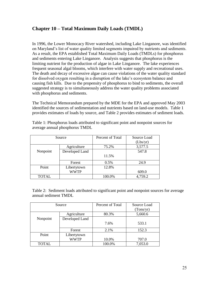# **Chapter 10 – Total Maximum Daily Loads (TMDL)**

In 1996, the Lower Monocacy River watershed, including Lake Linganore, was identified on Maryland's list of water quality limited segments impaired by nutrients and sediments. As a result, the EPA established Total Maximum Daily Loads (TMDLs) for phosphorus and sediments entering Lake Linganore. Analysis suggests that phosphorus is the limiting nutrient for the production of algae in Lake Linganore. The lake experiences frequent seasonal algal blooms, which interfere with water supply and recreational uses. The death and decay of excessive algae can cause violations of the water quality standard for dissolved oxygen resulting in a disruption of the lake's ecosystem balance and causing fish kills. Due to the propensity of phosphorus to bind to sediments, the overall suggested strategy is to simultaneously address the water quality problems associated with phosphorus and sediments.

The Technical Memorandum prepared by the MDE for the EPA and approved May 2003 identified the sources of sedimentation and nutrients based on land-use models. Table 1 provides estimates of loads by source, and Table 2 provides estimates of sediment loads.

| Source       |                | Percent of Total | Source Load |
|--------------|----------------|------------------|-------------|
|              |                |                  | (Lbs/yr)    |
|              | Agriculture    | 75.2%            | 3,577.5     |
| Nonpoint     | Developed Land |                  | 547.8       |
|              |                | 11.5%            |             |
|              | Forest         | 0.5%             | 24.9        |
| Point        | Libertytown    | 12.8%            |             |
|              | <b>WWTP</b>    |                  | 609.0       |
| <b>TOTAL</b> |                | 100.0%           | 4,759.2     |

Table 1: Phosphorus loads attributed to significant point and nonpoint sources for average annual phosphorus TMDL

Table 2: Sediment loads attributed to significant point and nonpoint sources for average annual sediment TMDL

|              | Source         | Percent of Total | Source Load<br>(Tons/yr) |
|--------------|----------------|------------------|--------------------------|
|              | Agriculture    | 80.3%            | 5,660.6                  |
| Nonpoint     | Developed Land |                  |                          |
|              |                | 7.6%             | 533.1                    |
|              | Forest         | 2.1%             | 152.3                    |
| Point        | Libertytown    |                  |                          |
|              | WWTP           | 10.0%            | 707.0                    |
| <b>TOTAL</b> |                | 100.0%           | 7,053.0                  |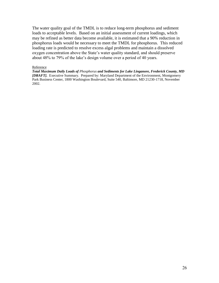The water quality goal of the TMDL is to reduce long-term phosphorus and sediment loads to acceptable levels. Based on an initial assessment of current loadings, which may be refined as better data become available, it is estimated that a 90% reduction in phosphorus loads would be necessary to meet the TMDL for phosphorus. This reduced loading rate is predicted to resolve excess algal problems and maintain a dissolved oxygen concentration above the State's water quality standard, and should preserve about 48% to 79% of the lake's design volume over a period of 40 years.

#### Reference

*Total Maximum Daily Loads of Phosphorus and Sediments for Lake Linganore, Frederick County, MD [DRAFT].*Executive Summary.Prepared by: Maryland Department of the Environment, Montgomery Park Business Center, 1800 Washington Boulevard, Suite 540, Baltimore, MD 21230-1718, November 2002.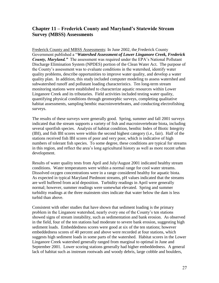# **Chapter 11 – Frederick County and Maryland's Statewide Stream Survey (MBSS) Assessments**

Frederick County and MBSS Assessments: In June 2002, the Frederick County Government published a "Watershed Assessment of Lower Linganore Creek, Frederick *County, Maryland."* The assessment was required under the EPA's National Pollutant Discharge Elimination System (NPDES) portion of the Clean Water Act. The purpose of the County's assessment was to evaluate conditions in the watershed, identify water quality problems, describe opportunities to improve water quality, and develop a water quality plan. In addition, this study included computer modeling to assess watershed and subwatershed runoff and pollutant loading characteristics. Ten long-term stream monitoring stations were established to characterize aquatic resources within Lower Linganore Creek and its tributaries. Field activities included testing water quality, quantifying physical conditions through geomorphic surveys, completing qualitative habitat assessments, sampling benthic macroinvertebrates, and conducting electrofishing surveys.

The results of these surveys were generally good. Spring, summer and fall 2001 surveys indicated that the stream supports a variety of fish and macroinvertebrate biota, including several sportfish species. Analysis of habitat condition, benthic Index of Biotic Integrity (IBI), and fish IBI scores were within the second highest category (i.e., fair). Half of the stations received fish IBI scores of poor and very poor, which is indicative of high numbers of tolerant fish species. To some degree, these conditions are typical for streams in this region, and reflect the area's long agricultural history as well as more recent urban development.

Results of water quality tests from April and July/August 2001 indicated healthy stream conditions. Water temperatures were within a normal range for cool water streams. Dissolved oxygen concentrations were in a range considered healthy for aquatic biota. As expected in typical Maryland Piedmont streams, pH values indicated that the streams are well buffered from acid deposition. Turbidity readings in April were generally normal; however, summer readings were somewhat elevated. Spring and summer turbidity readings at the three mainstem sites indicate that water below the dam is less turbid than above.

Consistent with other studies that have shown that sediment loading is the primary problem in the Linganore watershed, nearly every one of the County's ten stations showed signs of stream instability, such as sedimentation and bank erosion. As observed in the field, four of the ten stations had moderate to severe bank erosion, suggesting high sediment loads. Embeddedness scores were good at six of the ten stations; however embeddedness scores of 40 percent and above were recorded at four stations, which suggests high sediment loads in some parts of the watershed. Habitat scores in the Lower Linganore Creek watershed generally ranged from marginal to optimal in June and September 2001. Lower scoring stations generally had higher embeddedness. A general lack of habitat such as instream rootwads and woody debris, large cobble and boulders,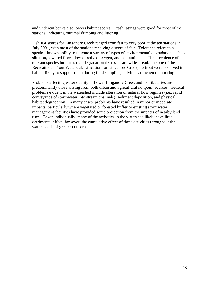and undercut banks also lowers habitat scores. Trash ratings were good for most of the stations, indicating minimal dumping and littering.

Fish IBI scores for Linganore Creek ranged from fair to very poor at the ten stations in July 2001, with most of the stations receiving a score of fair. Tolerance refers to a species' known ability to tolerate a variety of types of environmental degradation such as siltation, lowered flows, low dissolved oxygen, and contaminants. The prevalence of tolerant species indicates that degradational stresses are widespread. In spite of the Recreational Trout Waters classification for Linganore Creek, no trout were observed in habitat likely to support them during field sampling activities at the ten monitoring

Problems affecting water quality in Lower Linganore Creek and its tributaries are predominantly those arising from both urban and agricultural nonpoint sources. General problems evident in the watershed include alteration of natural flow regimes (i.e., rapid conveyance of stormwater into stream channels), sediment deposition, and physical habitat degradation. In many cases, problems have resulted in minor or moderate impacts, particularly where vegetated or forested buffer or existing stormwater management facilities have provided some protection from the impacts of nearby land uses. Taken individually, many of the activities in the watershed likely have little detrimental effect; however, the cumulative effect of these activities throughout the watershed is of greater concern.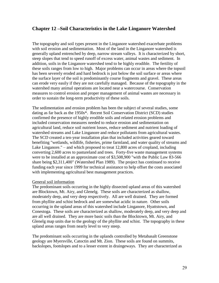# **Chapter 12 –Soil Characteristics in the Lake Linganore Watershed**

The topography and soil types present in the Linganore watershed exacerbate problems with soil erosion and sedimentation. Most of the land in the Linganore watershed is generally upland entrenched by deep, narrow stream valleys. It is characterized by short, steep slopes that tend to speed runoff of excess water, animal wastes and sediment. In addition, soils in the Linganore watershed tend to be highly erodible. The fertility of these soils ranges from low to high. Major problems can occur in areas where the topsoil has been severely eroded and hard bedrock is just below the soil surface or areas where the surface layer of the soil is predominantly course fragments and gravel. These areas can erode very easily if they are not carefully managed. Because of the topography in the watershed many animal operations are located near a watercourse. Conservation measures to control erosion and proper management of animal wastes are necessary in order to sustain the long-term productivity of these soils.

The sedimentation and erosion problem has been the subject of several studies, some dating as far back as the 1950s\*. Recent Soil Conservation District (SCD) studies confirmed the presence of highly erodible soils and related erosion problems and included conservation measures needed to reduce erosion and sedimentation on agricultural land, reduce soil nutrient losses, reduce sediment and nutrient loading of watershed streams and Lake Linganore and reduce pollutants from agricultural wastes. The SCD created a ten-year installation plan that included activities geared toward benefiting "wetlands, wildlife, fisheries, prime farmland, and water quality of streams and Lake Linganore." – and which proposed to treat 12,800 acres of cropland, including converting 2,600 acres to pastureland and trees. Forty-five waste management systems were to be installed at an approximate cost of \$3,508,900 "with the Public Law 83-566 share being \$2,311,400" (Watershed Plan 1989). The project has continued to receive funding each year since 1999 for technical assistance to help offset the costs associated with implementing agricultural best management practices.

### General soil information

The predominant soils occurring in the highly dissected upland areas of this watershed are Blocktown, Mt. Airy, and Glenelg. These soils are characterized as shallow, moderately deep, and very deep respectively. All are well drained. They are formed from phyllite and schist bedrock and are somewhat acidic in nature. Other soils occurring in the upland areas of this watershed include Linganore, Hyattstown, and Conestoga. These soils are characterized as shallow, moderately deep, and very deep and are all well drained. They are more basic soils than the Blocktown, Mt. Airy, and Glenelg map units due to the geology of the phyllite and schist. The topography in these upland areas ranges from nearly level to very steep.

The predominant soils occurring in the uplands controlled by Metabasalt Greenstone geology are Myersville, Catoctin and Mt. Zion. These soils are found on summits, backslopes, footslopes and to a lesser extent in draingeways. They are characterized as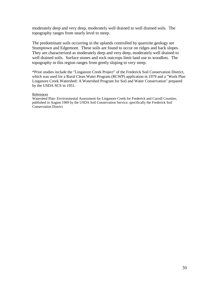moderately deep and very deep, moderately well drained to well drained soils. The topography ranges from nearly level to steep.

The predominant soils occurring in the uplands controlled by quartzite geology are Stumptown and Edgemont. These soils are found to occur on ridges and back slopes. They are characterized as moderately deep and very deep, moderately well drained to well drained soils. Surface stones and rock outcrops limit land use to woodlots. The topography in this region ranges from gently sloping to very steep.

\*Prior studies include the "Linganore Creek Project" of the Frederick Soil Conservation District, which was used for a Rural Clean Water Program (RCWP) application in 1979 and a "Work Plan Linganore Creek Watershed: A Watershed Program for Soil and Water Conservation" prepared by the USDA SCS in 1951.

#### **References**

Watershed Plan- Environmental Assessment for Linganore Creek for Frederick and Carroll Counties, published in August 1989 by the USDA Soil Conservation Service, specifically the Frederick Soil Conservation District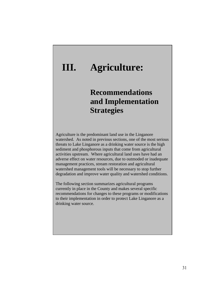# **III. Agriculture:**

# **Recommendations and Implementation Strategies**

Agriculture is the predominant land use in the Linganore watershed. As noted in previous sections, one of the most serious threats to Lake Linganore as a drinking water source is the high sediment and phosphorous inputs that come from agricultural activities upstream. Where agricultural land uses have had an adverse effect on water resources, due to outmoded or inadequate management practices, stream restoration and agricultural watershed management tools will be necessary to stop further degradation and improve water quality and watershed conditions.

The following section summarizes agricultural programs currently in place in the County and makes several specific recommendations for changes to these programs or modifications to their implementation in order to protect Lake Linganore as a drinking water source.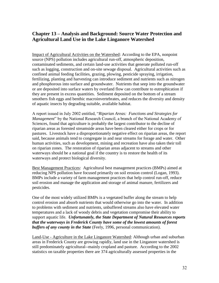# **Chapter 13 – Analysis and Background: Source Water Protection and Agricultural Land Use in the Lake Linganore Watershed**

Impact of Agricultural Activities on the Watershed: According to the EPA, nonpoint source (NPS) pollution includes agricultural run-off, atmospheric deposition, contaminated sediments, and certain land-use activities that generate polluted run-off such as logging, construction and on-site sewage disposal. Agricultural activities such as confined animal feeding facilities, grazing, plowing, pesticide spraying, irrigation, fertilizing, planting and harvesting can introduce sediment and nutrients such as nitrogen and phosphorous into surface and groundwater. Nutrients that seep into the groundwater or are deposited into surface waters by overland flow can contribute to eutrophication if they are present in excess quantities. Sediment deposited on the bottom of a stream smothers fish eggs and benthic macroinvertebrates, and reduces the diversity and density of aquatic insects by degrading suitable, available habitat.

A report issued in July 2002 entitled, "Riparian Areas: Functions and Strategies for *Management*" by the National Research Council, a branch of the National Academy of Sciences, found that agriculture is probably the largest contributor to the decline of riparian areas as forested streamside areas have been cleared either for crops or for pastures. Livestock have a disproportionately negative effect on riparian areas, the report said, because animals tend to congregate in and near streams for forage and water. Other human activities, such as development, mining and recreation have also taken their toll on riparian zones. The restoration of riparian areas adjacent to streams and other waterways should be a national goal if the country is to restore the health of its waterways and protect biological diversity.

Best Management Practices: Agricultural best management practices (BMPs) aimed at reducing NPS pollution have focused primarily on soil erosion control (Logan, 1993). BMPs include a variety of farm management practices that help control run-off, reduce soil erosion and manage the application and storage of animal manure, fertilizers and pesticides.

One of the most widely utilized BMPs is a vegetated buffer along the stream to help control erosion and absorb nutrients that would otherwise go into the water. In addition to problems with sediment and nutrients, unbuffered streams also have elevated water temperatures and a lack of woody debris and vegetation compromise their ability to support aquatic life. *Unfortunately, the State Department of Natural Resources reports that the waterways in Frederick County have some of the lowest amounts of forest buffers of any county in the State* (Feely, 1996, personal communication).

Land-Use - Agriculture in the Lake Linganore Watershed: Although urban and suburban areas in Frederick County are growing rapidly, land use in the Linganore watershed is still predominately agricultural--mainly cropland and pasture. According to the 2002 statistics on taxable properties there are 374 agriculturally assessed properties in the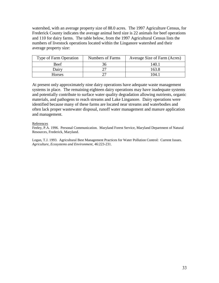watershed, with an average property size of 88.0 acres. The 1997 Agriculture Census, for Frederick County indicates the average animal herd size is 22 animals for beef operations and 110 for dairy farms. The table below, from the 1997 Agricultural Census lists the numbers of livestock operations located within the Linganore watershed and their average property size:

| Type of Farm Operation | Numbers of Farms | Average Size of Farm (Acres) |
|------------------------|------------------|------------------------------|
| Beef                   |                  | 140.1                        |
| Dairy                  |                  | 163.8                        |
| <b>Horses</b>          |                  | 104.                         |

At present only approximately nine dairy operations have adequate waste management systems in place. The remaining eighteen dairy operations may have inadequate systems and potentially contribute to surface water quality degradation allowing nutrients, organic materials, and pathogens to reach streams and Lake Linganore. Dairy operations were identified because many of these farms are located near streams and waterbodies and often lack proper wastewater disposal, runoff water management and manure application and management.

#### References

Feeley, P.A. 1996. Personal Communication. Maryland Forest Service, Maryland Department of Natural Resources, Frederick, Maryland.

Logan, T.J. 1993. Agricultural Best Management Practices for Water Pollution Control: Current Issues. *Agriculture, Ecosystems and Environment*, 46:223-231.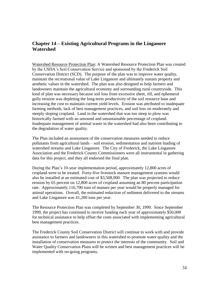# **Chapter 14 – Existing Agricultural Programs in the Linganore Watershed**

Watershed Resource Protection Plan: A Watershed Resource Protection Plan was created by the USDA's Soil Conservation Service and sponsored by the Frederick Soil Conservation District (SCD). The purpose of the plan was to improve water quality, maintain the recreational value of Lake Linganore and ultimately sustain property and aesthetic values in the watershed. The plan was also designed to help farmers and landowners maintain the agricultural economy and surrounding rural countryside. This kind of plan was necessary because soil loss from excessive sheet, rill, and ephemeral gully erosion was depleting the long-term productivity of the soil resource base and increasing the cost to maintain current yield levels. Erosion was attributed to inadequate farming methods, lack of best management practices, and soil loss on moderately and steeply sloping cropland. Land in the watershed that was too steep to plow was historically farmed with an unsound and unsustainable percentage of cropland. Inadequate management of animal waste in the watershed had also been contributing to the degradation of water quality.

The Plan included an assessment of the conservation measures needed to reduce pollutants from agricultural lands – soil erosion, sedimentation and nutrient loading of watershed streams and Lake Linganore. The City of Frederick, the Lake Linganore Association and the Frederick County Commissioners were all instrumental in gathering data for this project, and they all endorsed the final plan.

During the Plan's 10-year implementation period, approximately 12,800 acres of cropland were to be treated. Forty-five livestock manure management systems would also be installed at an estimated cost of \$3,508,900. The plan was projected to reduce erosion by 65 percent on 12,800 acres of cropland assuming an 80 percent participation rate. Approximately 116,700 tons of manure per year would be properly managed for animal operations. Overall, the estimated reduction of sediment delivered to the streams and Lake Linganore was 41,200 tons per year.

The Resource Protection Plan was completed by September 30, 1999. Since September 1999, the project has continued to receive funding each year of approximately \$50,000 for technical assistance to help offset the costs associated with implementing agricultural best management practices.

The Frederick County Soil Conservation District will continue to work with and provide assistance to farmers and landowners in this watershed to promote water quality and the installation of conservation measures to protect the interests of the community. Soil and Water Quality Conservation Plans will be written and best management practices will be implemented with on-going programs.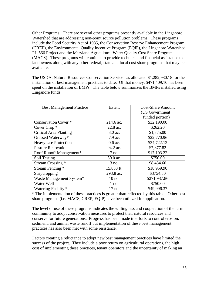Other Programs: There are several other programs presently available in the Linganore Watershed that are addressing non-point source pollution problems. These programs include the Food Security Act of 1985, the Conservation Reserve Enhancement Program (CREP), the Environmental Quality Incentive Program (EQIP), the Linganore Watershed PL-566 Project and the Maryland Agricultural Water Quality Cost Share Program (MACS). These programs will continue to provide technical and financial assistance to landowners along with any other federal, state and local cost share programs that may be available.

The USDA, Natural Resources Conservation Service has allocated \$1,282,930.18 for the installation of best management practices to date. Of that money, \$471,409.10 has been spent on the installation of BMPs. The table below summarizes the BMPs installed using Linganore funds.

| <b>Best Management Practice</b> | Extent     | <b>Cost-Share Amount</b> |
|---------------------------------|------------|--------------------------|
|                                 |            | (US Government           |
|                                 |            | funded portion)          |
| <b>Conservation Cover</b> *     | 214.6 ac.  | \$32,190.00              |
| Cover Crop <sup>*</sup>         | 22.8 ac.   | \$262.20                 |
| <b>Critical Area Planting</b>   | 3.0 ac.    | \$1,875.00               |
| Grassed Waterway*               | 7.9 ac.    | \$22,770.96              |
| <b>Heavy Use Protection</b>     | $0.6$ ac.  | \$34,722.12              |
| <b>Pasture Renovation</b>       | 94.2 ac.   | \$7,877.82               |
| Roof Runoff Management*         | 7 no.      | \$17,103.22              |
| Soil Testing                    | 30.0 ac.   | \$750.00                 |
| Stream Crossing *               | 3 no.      | \$8,484.60               |
| Stream Fencing *                | 15,883 ft. | \$18,959.90              |
| Stripcropping                   | 293.8 ac.  | \$3754.80                |
| Waste Management System*        | 10 no.     | \$271,937.86             |
| Water Well                      | $1$ no.    | \$750.00                 |
| Watering Facility *             | 17 no.     | \$49,996.37              |

\* The implementation of these practices is greater than reflected by this table. Other cost share programs (i.e. MACS, CREP, EQIP) have been utilized for application.

The level of use of these programs indicates the willingness and cooperation of the farm community to adopt conservation measures to protect their natural resources and conserve for future generations. Progress has been made in efforts to control erosion, sediment, and animal waste runoff but implementation of these best management practices has also been met with some resistance.

Factors creating a reluctance to adopt new best management practices have limited the success of the project. They include a poor return on agricultural operations, the high cost of implementing these practices, tenant operators and the uncertainty of making an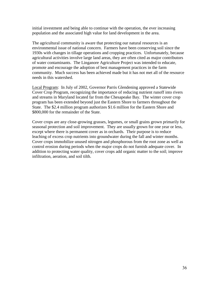initial investment and being able to continue with the operation, the ever increasing population and the associated high value for land development in the area.

The agricultural community is aware that protecting our natural resources is an environmental issue of national concern. Farmers have been conserving soil since the 1930s with changes in tillage operations and cropping practices. Unfortunately, because agricultural activities involve large land areas, they are often cited as major contributors of water contaminants. The Linganore Agriculture Project was intended to educate, promote and encourage the adoption of best management practices in the farm community. Much success has been achieved made but it has not met all of the resource needs in this watershed.

Local Program: In July of 2002, Governor Parris Glendening approved a Statewide Cover Crop Program, recognizing the importance of reducing nutrient runoff into rivers and streams in Maryland located far from the Chesapeake Bay. The winter cover crop program has been extended beyond just the Eastern Shore to farmers throughout the State. The \$2.4 million program authorizes \$1.6 million for the Eastern Shore and \$800,000 for the remainder of the State.

Cover crops are any close-growing grasses, legumes, or small grains grown primarily for seasonal protection and soil improvement. They are usually grown for one year or less, except where there is permanent cover as in orchards. Their purpose is to reduce leaching of excess crop nutrients into groundwater during the fall and winter months. Cover crops immobilize unused nitrogen and phosphorous from the root zone as well as control erosion during periods when the major crops do not furnish adequate cover. In addition to protecting water quality, cover crops add organic matter to the soil; improve infiltration, aeration, and soil tilth.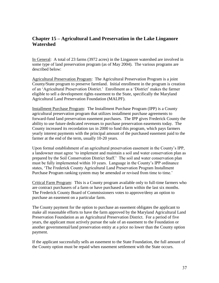# **Chapter 15 – Agricultural Land Preservation in the Lake Linganore Watershed**

In General: A total of 23 farms (3972 acres) in the Linganore watershed are involved in some type of land preservation program (as of May 2004). The various programs are described below:

Agricultural Preservation Program: The Agricultural Preservation Program is a joint County/State program to preserve farmland. Initial enrollment in the program is creation of an 'Agricultural Preservation District.' Enrollment as a 'District' makes the farmer eligible to sell a development rights easement to the State, specifically the Maryland Agricultural Land Preservation Foundation (MALPF).

Installment Purchase Program: The Installment Purchase Program (IPP) is a County agricultural preservation program that utilizes installment purchase agreements to forward-fund land preservation easement purchases. The IPP gives Frederick County the ability to use future dedicated revenues to purchase preservation easements today. The County increased its recordation tax in 2000 to fund this program, which pays farmers yearly interest payments with the principal amount of the purchased easement paid to the farmer at the end of the term, usually 10-20 years.

Upon formal establishment of an agricultural preservation easement in the County's IPP, a landowner must agree ‗to implement and maintain a soil and water conservation plan as prepared by the Soil Conservation District Staff.' The soil and water conservation plan must be fully implemented within 10 years. Language in the County's IPP ordinance states, ‗The Frederick County Agricultural Land Preservation Program Installment Purchase Program ranking system may be amended or revised from time to time.'

Critical Farm Program: This is a County program available only to full-time farmers who are contract purchasers of a farm or have purchased a farm within the last six months. The Frederick County Board of Commissioners votes to approve/deny an option to purchase an easement on a particular farm.

The County payment for the option to purchase an easement obligates the applicant to make all reasonable efforts to have the farm approved by the Maryland Agricultural Land Preservation Foundation as an Agricultural Preservation District. For a period of five years, the applicant must actively pursue the sale of an easement to the Foundation or another governmental/land preservation entity at a price no lower than the County option payment.

If the applicant successfully sells an easement to the State Foundation, the full amount of the County option must be repaid when easement settlement with the State occurs.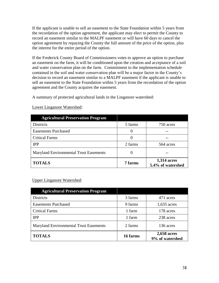If the applicant is unable to sell an easement to the State Foundation within 5 years from the recordation of the option agreement, the applicant may elect to permit the County to record an easement similar to the MALPF easement or will have 60 days to cancel the option agreement by repaying the County the full amount of the price of the option, plus the interest for the entire period of the option.

If the Frederick County Board of Commissioners votes to approve an option to purchase an easement on the farm, it will be conditioned upon the creation and acceptance of a soil and water conservation plan on the farm. Commitment to the implementation schedule contained in the soil and water conservation plan will be a major factor in the County's decision to record an easement similar to a MALPF easement if the applicant is unable to sell an easement to the State Foundation within 5 years from the recordation of the option agreement and the County acquires the easement.

A summary of protected agricultural lands in the Linganore watershed:

| <b>Agricultural Preservation Program</b> |          |                                         |
|------------------------------------------|----------|-----------------------------------------|
| <b>Districts</b>                         | 5 farms  | 750 acres                               |
| <b>Easements Purchased</b>               | O        |                                         |
| <b>Critical Farms</b>                    | $\theta$ |                                         |
| <b>IPP</b>                               | 2 farms  | 564 acres                               |
| Maryland Environmental Trust Easements   |          |                                         |
| <b>TOTALS</b>                            | 7 farms  | <b>1,314 acres</b><br>5.4% of watershed |

Lower Linganore Watershed:

# Upper Linganore Watershed:

| <b>Agricultural Preservation Program</b>      |          |                                |
|-----------------------------------------------|----------|--------------------------------|
| <b>Districts</b>                              | 3 farms  | 471 acres                      |
| <b>Easements Purchased</b>                    | 9 farms  | 1,635 acres                    |
| <b>Critical Farms</b>                         | 1 farm   | 178 acres                      |
| <b>IPP</b>                                    | 1 farm   | 238 acres                      |
| <b>Maryland Environmental Trust Easements</b> | 2 farms  | 136 acres                      |
| <b>TOTALS</b>                                 | 16 farms | 2,658 acres<br>9% of watershed |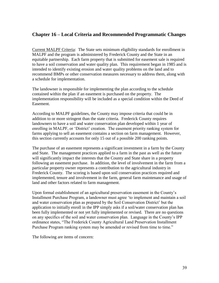# **Chapter 16 – Local Criteria and Recommended Programmatic Changes**

Current MALPF Criteria: The State sets minimum eligibility standards for enrollment in MALPF and the program is administered by Frederick County and the State in an equitable partnership. Each farm property that is submitted for easement sale is required to have a soil conservation and water quality plan. This requirement began in 1985 and is intended to identify existing erosion and water quality problems on the land and to recommend BMPs or other conservation measures necessary to address them, along with a schedule for implementation.

The landowner is responsible for implementing the plan according to the schedule contained within the plan if an easement is purchased on the property. The implementation responsibility will be included as a special condition within the Deed of Easement.

According to MALPF guidelines, the County may impose criteria that could be in addition to or more stringent than the state criteria. Frederick County requires landowners to have a soil and water conservation plan developed within 1 year of enrolling in MALPF, or 'District' creation. The easement priority ranking system for farms applying to sell an easement contains a section on farm management. However, this section currently accounts for only 15 out of a possible 200 ranking points.

The purchase of an easement represents a significant investment in a farm by the County and State. The management practices applied to a farm in the past as well as the future will significantly impact the interests that the County and State share in a property following an easement purchase. In addition, the level of involvement in the farm from a particular property owner represents a contribution to the agricultural industry in Frederick County. The scoring is based upon soil conservation practices required and implemented, tenure and involvement in the farm, general farm maintenance and usage of land and other factors related to farm management.

Upon formal establishment of an agricultural preservation easement in the County's Installment Purchase Program, a landowner must agree ‗to implement and maintain a soil and water conservation plan as prepared by the Soil Conservation District' but the application to initially enroll in the IPP simply asks if a soil/water conservation plan has been fully implemented or not yet fully implemented or revised. There are no questions on any specifics of the soil and water conservation plan. Language in the County's IPP ordinance states, "The Frederick County Agricultural Land Preservation Installment Purchase Program ranking system may be amended or revised from time to time."

The following are items of concern: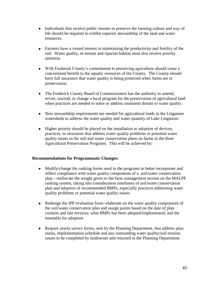- Individuals that receive public monies to preserve the farming culture and way of life should be required to exhibit superior stewardship of the land and water resources.
- Farmers have a vested interest in maintaining the productivity and fertility of the soil. Water quality, in-stream and riparian habitat must also receive priority attention.
- With Frederick County's commitment to preserving agriculture should come a concomitant benefit to the aquatic resources of the County. The County should have full assurance that water quality is being protected when farms are in preservation.
- The Frederick County Board of Commissioners has the authority to amend, revise, rescind, or change a local program for the preservation of agricultural land when practices are needed to solve or address imminent threats to water quality.
- New stewardship requirements are needed for agricultural lands in the Linganore watersheds to address the water quality and water quantity of Lake Linganore.
- Higher priority should be placed on the installation or adoption of devices, practices, or structures that address water quality problems or potential water quality issues in the soil and water conservation plans on farms in the three Agricultural Preservation Programs. This will be achieved by:

# **Recommendations for Programmatic Changes:**

- Modify/change the ranking forms used in the programs to better incorporate and reflect compliance with water quality components of a soil/water conservation plan—reallocate the weight given to the farm management section on the MALPF ranking system, taking into consideration timeliness of soil/water conservation plan and adoption of recommended BMPs, especially practices addressing water quality problems or potential water quality issues.
- Redesign the IPP evaluation form--elaborate on the water quality components of the soil/water conservation plan and assign points based on the date of plan creation and last revision; what BMPs has been adopted/implemented; and the timetable for adoption.
- Require yearly survey forms, sent by the Planning Department, that address plan status, implementation schedule and any outstanding water quality/soil erosion issues to be completed by landowner and returned to the Planning Department.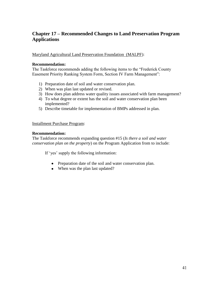# **Chapter 17 – Recommended Changes to Land Preservation Program Applications**

Maryland Agricultural Land Preservation Foundation (MALPF):

### **Recommendation:**

The Taskforce recommends adding the following items to the "Frederick County" Easement Priority Ranking System Form, Section IV Farm Management":

- 1) Preparation date of soil and water conservation plan.
- 2) When was plan last updated or revised.
- 3) How does plan address water quality issues associated with farm management?
- 4) To what degree or extent has the soil and water conservation plan been implemented?
- 5) Describe timetable for implementation of BMPs addressed in plan.

### Installment Purchase Program:

### **Recommendation:**

The Taskforce recommends expanding question #15 (*Is there a soil and water conservation plan on the property*) on the Program Application from to include:

If 'yes' supply the following information:

- Preparation date of the soil and water conservation plan.
- When was the plan last updated?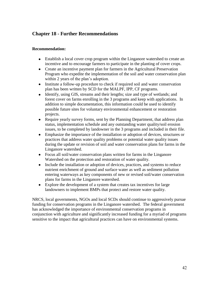# **Chapter 18 - Further Recommendations**

# **Recommendation:**

- Establish a local cover crop program within the Linganore watershed to create an incentive and to encourage farmers to participate in the planting of cover crops.
- Create an incentive payment plan for farmers in the Agricultural Preservation Program who expedite the implementation of the soil and water conservation plan within 2 years of the plan's adoption.
- Institute a follow-up procedure to check if required soil and water conservation plan has been written by SCD for the MALPF, IPP, CF programs.
- Identify, using GIS, streams and their lengths; size and type of wetlands; and forest cover on farms enrolling in the 3 programs and keep with applications. In addition to simple documentation, this information could be used to identify possible future sites for voluntary environmental enhancement or restoration projects.
- Require yearly survey forms, sent by the Planning Department, that address plan status, implementation schedule and any outstanding water quality/soil erosion issues, to be completed by landowner in the 3 programs and included in their file.
- Emphasize the importance of the installation or adoption of devices, structures or practices that address water quality problems or potential water quality issues during the update or revision of soil and water conservation plans for farms in the Linganore watershed.
- Focus all soil/water conservation plans written for farms in the Linganore Watershed on the protection and restoration of water quality.
- Include the installation or adoption of devices, practices, and systems to reduce nutrient enrichment of ground and surface water as well as sediment pollution entering waterways as key components of new or revised soil/water conservation plans for farms in the Linganore watershed.
- Explore the development of a system that creates tax incentives for large landowners to implement BMPs that protect and restore water quality.

NRCS, local governments, NGOs and local SCDs should continue to aggressively pursue funding for conservation programs in the Linganore watershed. The federal government has acknowledged the importance of environmental conservation programs in conjunction with agriculture and significantly increased funding for a myriad of programs sensitive to the impact that agricultural practices can have on environmental systems.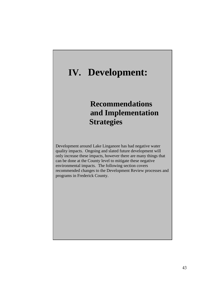# **IV. Development:**

# **Recommendations and Implementation Strategies**

Development around Lake Linganore has had negative water quality impacts. Ongoing and slated future development will only increase these impacts, however there are many things that can be done at the County level to mitigate these negative environmental impacts. The following section covers recommended changes to the Development Review processes and programs in Frederick County.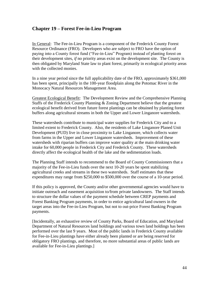# **Chapter 19 – Forest Fee-in-Lieu Program**

In General: The Fee-in-Lieu Program is a component of the Frederick County Forest Resource Ordinance (FRO). Developers who are subject to FRO have the option of paying into a County forest fund ("Fee-in-Lieu" Program) instead of planting forest on their development sites, *if* no priority areas exist on the development site. The County is then obligated by Maryland State law to plant forest, primarily in ecological priority areas with the collected monies.

In a nine year period since the full applicability date of the FRO, approximately \$361,000 has been spent, principally in the 100-year floodplain along the Potomac River in the Monocacy Natural Resources Management Area.

Greatest Ecological Benefit: The Development Review and the Comprehensive Planning Staffs of the Frederick County Planning & Zoning Department believe that the greatest ecological benefit derived from future forest plantings can be obtained by planting forest buffers along agricultural streams in both the Upper and Lower Linganore watersheds.

These watersheds contribute to municipal water supplies for Frederick City and to a limited extent to Frederick County. Also, the residents of Lake Linganore Planed Unit Development (PUD) live in close proximity to Lake Linganore, which collects water from farms in the Upper and Lower Linganore watersheds. Improvement of these watersheds with riparian buffers can improve water quality at the main drinking water intake for 60,000 people in Frederick City and Frederick County. These watersheds directly affect the ecological health of the lake and the sedimentation loads.

The Planning Staff intends to recommend to the Board of County Commissioners that a majority of the Fee-in-Lieu funds over the next 10-20 years be spent stabilizing agricultural creeks and streams in these two watersheds. Staff estimates that these expenditures may range from \$250,000 to \$500,000 over the course of a 10-year period.

If this policy is approved, the County and/or other governmental agencies would have to initiate outreach and easement acquisition to/from private landowners. The Staff intends to structure the dollar values of the payment schedule between CREP payments and Forest Banking Program payments, in order to entice agricultural land owners in the target areas into the Fee-in-Lieu Program, but not to out-price Forest Banking Program payments.

[Incidentally, an exhaustive review of County Parks, Board of Education, and Maryland Department of Natural Resources land holdings and various town land holdings has been performed over the last 9 years. Most of the public lands in Frederick County available for Fee-in-Lieu plantings have either already been planted or are being reserved for obligatory FRO plantings, and therefore, no more substantial areas of public lands are available for Fee-in-Lieu plantings.]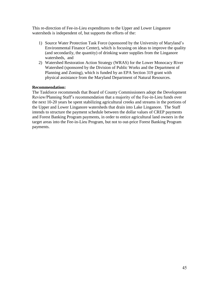This re-direction of Fee-in-Lieu expenditures to the Upper and Lower Linganore watersheds is independent of, but supports the efforts of the:

- 1) Source Water Protection Task Force (sponsored by the University of Maryland's Environmental Finance Center), which is focusing on ideas to improve the quality (and secondarily, the quantity) of drinking water supplies from the Linganore watersheds, and
- 2) Watershed Restoration Action Strategy (WRAS) for the Lower Monocacy River Watershed (sponsored by the Division of Public Works and the Department of Planning and Zoning), which is funded by an EPA Section 319 grant with physical assistance from the Maryland Department of Natural Resources.

# **Recommendation:**

The Taskforce recommends that Board of County Commissioners adopt the Development Review/Planning Staff's recommendation that a majority of the Fee-in-Lieu funds over the next 10-20 years be spent stabilizing agricultural creeks and streams in the portions of the Upper and Lower Linganore watersheds that drain into Lake Linganore. The Staff intends to structure the payment schedule between the dollar values of CREP payments and Forest Banking Program payments, in order to entice agricultural land owners in the target areas into the Fee-in-Lieu Program, but not to out-price Forest Banking Program payments.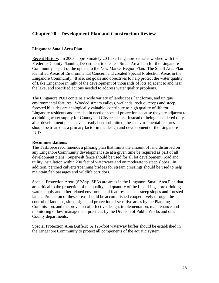# **Chapter 20 – Development Plan and Construction Review**

### **Linganore Small Area Plan**

Recent History: In 2003, approximately 20 Lake Linganore citizens worked with the Frederick County Planning Department to create a Small Area Plan for the Linganore Community as part of the update to the New Market Region Plan. The Small Area Plan identified Areas of Environmental Concern and created Special Protection Areas in the Linganore Community. It also set goals and objectives to help protect the water quality of Lake Linganore in light of the development of thousands of lots adjacent to and near the lake, and specified actions needed to address water quality problems.

The Linganore PUD contains a wide variety of landscapes, landforms, and unique environmental features. Wooded stream valleys, wetlands, rock outcrops and steep, forested hillsides are ecologically valuable, contribute to high quality of life for Linganore residents and are also in need of special protection because they are adjacent to a drinking water supply for County and City residents. Instead of being considered only after development plans have already been submitted, these environmental features should be treated as a primary factor in the design and development of the Linganore PUD.

### **Recommendations:**

The Taskforce recommends a phasing plan that limits the amount of land disturbed on any Linganore Community development site at a given time be required as part of all development plans. Super-silt fence should be used for all lot development, road and utility installation within 200 feet of waterways and on moderate to steep slopes. In addition, perched culverts/spanning bridges for stream crossings should be used to help maintain fish passages and wildlife corridors.

Special Protection Areas (SPAs): SPAs are areas in the Linganore Small Area Plan that are critical to the protection of the quality and quantity of the Lake Linganore drinking water supply and other related environmental features, such as steep slopes and forested lands. Protection of these areas should be accomplished cooperatively through the control of land use, site design, and protection of sensitive areas by the Planning Commission, and the provision of effective design, implementation, maintenance and monitoring of best management practices by the Division of Public Works and other County departments.

Special Protection Area Buffers: A 125-foot waterway buffer should be established in the Linganore Community to protect all components of the aquatic system.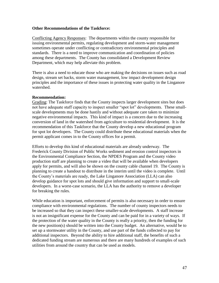### **Other Recommendations of the Taskforce:**

Conflicting Agency Responses: The departments within the county responsible for issuing environmental permits, regulating development and storm-water management sometimes operate under conflicting or contradictory environmental principles and standards. There is a need to improve communication and coordination of policies among these departments. The County has consolidated a Development Review Department, which may help alleviate this problem.

There is also a need to educate those who are making the decisions on issues such as road design, stream set backs, storm water management, low impact development design principles and the importance of these issues in protecting water quality in the Linganore watershed.

#### **Recommendation:**

Grading: The Taskforce finds that the County inspects larger development sites but does not have adequate staff capacity to inspect smaller "spot lot" developments. These smallscale developments may be done hastily and without adequate care taken to minimize negative environmental impacts. This kind of impact is a concern due to the increasing conversion of land in the watershed from agriculture to residential development. It is the recommendation of this Taskforce that the County develop a new educational program for spot lot developers. The County could distribute these educational materials when the permit applicant comes in to the County offices for a permit.

Efforts to develop this kind of educational materials are already underway. The Frederick County Division of Public Works sediment and erosion control inspectors in the Environmental Compliance Section, the NPDES Program and the County video production staff are planning to create a video that will be available when developers apply for permits, and will also be shown on the county cable channel 19. The County is planning to create a handout to distribute in the interim until the video is complete. Until the County's materials are ready, the Lake Linganore Association (LLA) can also develop guidance for spot lots and should give information and support to small-scale developers. In a worst-case scenario, the LLA has the authority to remove a developer for breaking the rules.

While education is important, enforcement of permits is also necessary in order to ensure compliance with environmental regulations. The number of county inspectors needs to be increased so that they can inspect these smaller-scale developments. A staff increase is not an insignificant expense for the County and can be paid for in a variety of ways. If the protection of the water quality in the County is really a priority, then the funding for the new position(s) should be written into the County budget. An alternative, would be to set up a stormwater utility in the County, and use part of the funds collected to pay for additional inspectors. Beyond the ability to hire additional staff, the benefits of such a dedicated funding stream are numerous and there are many hundreds of examples of such utilities from around the country that can be used as models.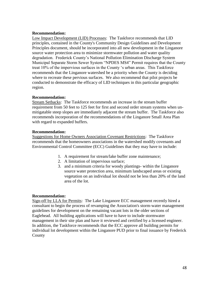### **Recommendation:**

Low Impact Development (LID) Processes: The Taskforce recommends that LID principles, contained in the County's Community Design Guidelines and Development Principles document, should be incorporated into all new development in the Linganore source water protection area to minimize stormwater pollution and water quality degradation. Frederick County's National Pollution Elimination Discharge System Municipal Separate Storm Sewer System "NPDES MS4" Permit requires that the County treat 10% of the impervious surfaces in the County 's urban areas. This Taskforce recommends that the Linganore watershed be a priority when the County is deciding where to recreate these pervious surfaces. We also recommend that pilot projects be conducted to demonstrate the efficacy of LID techniques in this particular geographic region.

### **Recommendation:**

Stream Setbacks: The Taskforce recommends an increase in the stream buffer requirement from 50 feet to 125 feet for first and second order stream systems when unmitigatable steep slopes are immediately adjacent the stream buffer. The Taskforce also recommends incorporation of the recommendations of the Linganore Small Area Plan with regard to expanded buffers.

### **Recommendation:**

Suggestions for Home Owners Association Covenant Restrictions: The Taskforce recommends that the homeowners associations in the watershed modify covenants and Environmental Control Committee (ECC) Guidelines that they may have to include:

- 1. A requirement for stream/lake buffer zone maintenance;
- 2. A limitation of impervious surface;
- 3. and a minimum criteria for woody plantings- within the Linganore source water protection area, minimum landscaped areas or existing vegetation on an individual lot should not be less than 20% of the land area of the lot.

### **Recommendation:**

Sign-off by LLA for Permits: The Lake Linganore ECC management recently hired a consultant to begin the process of revamping the Association's storm-water management guidelines for development on the remaining vacant lots in the older sections of Eaglehead. All building applications will have to have to include stormwater management in their site plan and have it reviewed and certified by a licensed engineer. In addition, the Taskforce recommends that the ECC approve all building permits for individual lot development within the Linganore PUD prior to final issuance by Frederick County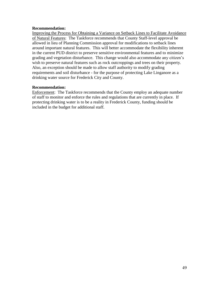### **Recommendation:**

Improving the Process for Obtaining a Variance on Setback Lines to Facilitate Avoidance of Natural Features: The Taskforce recommends that County Staff-level approval be allowed in lieu of Planning Commission approval for modifications to setback lines around important natural features. This will better accommodate the flexibility inherent in the current PUD district to preserve sensitive environmental features and to minimize grading and vegetation disturbance. This change would also accommodate any citizen's wish to preserve natural features such as rock outcroppings and trees on their property. Also, an exception should be made to allow staff authority to modify grading requirements and soil disturbance - for the purpose of protecting Lake Linganore as a drinking water source for Frederick City and County.

# **Recommendation:**

Enforcement: The Taskforce recommends that the County employ an adequate number of staff to monitor and enforce the rules and regulations that are currently in place. If protecting drinking water is to be a reality in Frederick County, funding should be included in the budget for additional staff.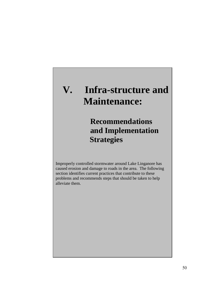# **V. Infra-structure and Maintenance:**

# **Recommendations and Implementation Strategies**

Improperly controlled stormwater around Lake Linganore has caused erosion and damage to roads in the area. The following section identifies current practices that contribute to these problems and recommends steps that should be taken to help alleviate them.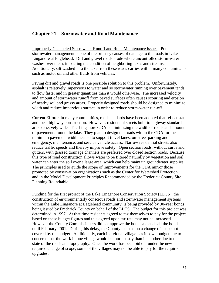# **Chapter 21 – Stormwater and Road Maintenance**

Improperly Channeled Stormwater Runoff and Road Maintenance Issues: Poor stormwater management is one of the primary causes of damage to the roads in Lake Linganore at Eaglehead. Dirt and gravel roads erode where uncontrolled storm-water washes over them, impacting the condition of neighboring lakes and streams. Additionally, silt washed into the lake from these roads carries with it many contaminants such as motor oil and other fluids from vehicles.

Paving dirt and gravel roads is one possible solution to this problem. Unfortunately, asphalt is relatively impervious to water and so stormwater running over pavement tends to flow faster and in greater quantities than it would otherwise. The increased velocity and amount of stormwater runoff from paved surfaces often causes scouring and erosion of nearby soil and grassy areas. Properly designed roads should be designed to minimize width and reduce impervious surface in order to reduce storm-water run-off.

Current Efforts: In many communities, road standards have been adopted that reflect state and local highway construction. However, residential streets built to highway standards are excessively wide. The Linganore CDA is minimizing the width of roads and amount of pavement around the lake. They plan to design the roads within the CDA for the minimum pavement width needed to support travel lanes, on-street parking and emergency, maintenance, and service vehicle access. Narrow residential streets also reduce traffic speeds and thereby improve safety. Open section roads, without curbs and gutters, with grassed drainage channels are preferred over closed section roads. Because this type of road construction allows water to be filtered naturally by vegetation and soil, water can enter the soil over a large area, which can help maintain groundwater supplies. The principles used to guide the scope of improvements for the CDA mirror those promoted by conservation organizations such as the Center for Watershed Protection. and in the Model Development Principles Recommended by the Frederick County Site Planning Roundtable.

Funding for the first project of the Lake Linganore Conservation Society (LLCS), the construction of environmentally conscious roads and stormwater management systems within the Lake Linganore at Eaglehead community, is being provided by 30-year bonds being issued by Frederick County on behalf of the LLCS. The budget for this project was determined in 1997. At that time residents agreed to tax themselves to pay for the project based on these budget figures and this agreed upon tax rate may not be increased. However the County Commissioners did not approve the bond sale and sell the bonds until February 2001. During this delay, the County insisted on a change of scope not covered by the budget. Additionally, each individual village has its own budget due to concerns that the work in one village would be more costly than in another due to the state of the roads and topography. Once the work has been bid out under the new required change of scope, some of the villages may not be able to pay for the required upgrades.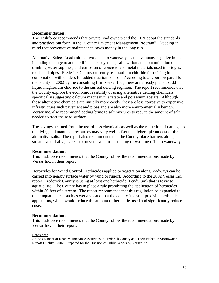### **Recommendation:**

The Taskforce recommends that private road owners and the LLA adopt the standards and practices put forth in the "County Pavement Management Program" – keeping in mind that preventative maintenance saves money in the long run.

Alternative Salts: Road salt that washes into waterways can have many negative impacts including damage to aquatic life and ecosystems, salinization and contamination of drinking water supplies, and corrosion of concrete and metal materials used in bridges, roads and pipes. Frederick County currently uses sodium chloride for deicing in combination with cinders for added traction control. According to a report prepared for the county in 2002 by the consulting firm Versar Inc., there are already plans to add liquid magnesium chloride to the current deicing regimen. The report recommends that the County explore the economic feasibility of using alternative deicing chemicals, specifically suggesting calcium magnesium acetate and potassium acetate. Although these alternative chemicals are initially more costly, they are less corrosive to expensive infrastructure such pavement and pipes and are also more environmentally benign. Versar Inc. also recommend adding brine to salt mixtures to reduce the amount of salt needed to treat the road surface.

The savings accrued from the use of less chemicals as well as the reduction of damage to the living and manmade resources may very well offset the higher upfront cost of the alternative salts. The report also recommends that the County place barriers along streams and drainage areas to prevent salts from running or washing off into waterways.

### **Recommendation:**

This Taskforce recommends that the County follow the recommendations made by Versar Inc. in their report

Herbicides for Weed Control: Herbicides applied to vegetation along roadways can be carried into nearby surface water by wind or runoff. According to the 2002 Versar Inc. report, Frederick County is using at least one herbicide (Pendulum) that is toxic to aquatic life. The County has in place a rule prohibiting the application of herbicides within 50 feet of a stream. The report recommends that this regulation be expanded to other aquatic areas such as wetlands and that the county invest in precision herbicide applicators, which would reduce the amount of herbicide, used and significantly reduce costs.

#### **Recommendation:**

This Taskforce recommends that the County follow the recommendations made by Versar Inc. in their report.

#### References

An Assessment of Road Maintenance Activities in Frederick County and Their Effect on Stormwater Runoff Quality. 2002. Prepared for the Division of Public Works by Versar Inc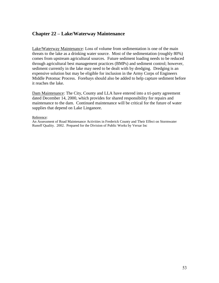# **Chapter 22 – Lake/Waterway Maintenance**

Lake/Waterway Maintenance: Loss of volume from sedimentation is one of the main threats to the lake as a drinking water source. Most of the sedimentation (roughly 80%) comes from upstream agricultural sources. Future sediment loading needs to be reduced through agricultural best management practices (BMPs) and sediment control; however, sediment currently in the lake may need to be dealt with by dredging. Dredging is an expensive solution but may be eligible for inclusion in the Army Corps of Engineers Middle Potomac Process. Forebays should also be added to help capture sediment before it reaches the lake.

Dam Maintenance: The City, County and LLA have entered into a tri-party agreement dated December 14, 2000, which provides for shared responsibility for repairs and maintenance to the dam. Continued maintenance will be critical for the future of water supplies that depend on Lake Linganore.

#### Reference:

An Assessment of Road Maintenance Activities in Frederick County and Their Effect on Stormwater Runoff Quality. 2002. Prepared for the Division of Public Works by Versar Inc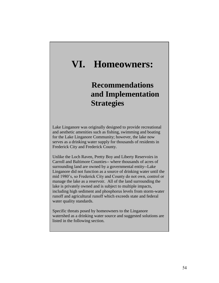# **VI. Homeowners:**

# **Recommendations and Implementation Strategies**

Lake Linganore was originally designed to provide recreational and aesthetic amenities such as fishing, swimming and boating for the Lake Linganore Community; however, the lake now serves as a drinking water supply for thousands of residents in Frederick City and Frederick County.

Unlike the Loch Raven, Pretty Boy and Liberty Reservoirs in Carroll and Baltimore Counties-- where thousands of acres of surrounding land are owned by a governmental entity--Lake Linganore did not function as a source of drinking water until the mid 1980's, so Frederick City and County do not own, control or manage the lake as a reservoir. All of the land surrounding the lake is privately owned and is subject to multiple impacts, including high sediment and phosphorus levels from storm-water runoff and agricultural runoff which exceeds state and federal water quality standards.

Specific threats posed by homeowners to the Linganore watershed as a drinking water source and suggested solutions are listed in the following section.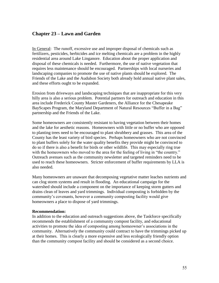# **Chapter 23 – Lawn and Garden**

In General: The runoff, excessive use and improper disposal of chemicals such as fertilizers, pesticides, herbicides and ice melting chemicals are a problem in the highly residential area around Lake Linganore. Education about the proper application and disposal of these chemicals is needed. Furthermore, the use of native vegetation that requires less maintenance should be encouraged. Partnerships with local nurseries and landscaping companies to promote the use of native plants should be explored. The Friends of the Lake and the Audubon Society both already hold annual native plant sales, and these efforts ought to be expanded.

Erosion from driveways and landscaping techniques that are inappropriate for this very hilly area is also a serious problem. Potential partners for outreach and education in this area include Frederick County Master Gardeners, the Alliance for the Chesapeake BayScapes Program, the Maryland Department of Natural Resources "Buffer in a Bag" partnership and the Friends of the Lake.

Some homeowners are consistently resistant to having vegetation between their homes and the lake for aesthetic reasons. Homeowners with little or no buffer who are opposed to planting trees need to be encouraged to plant shrubbery and grasses. This area of the County has the least variety of bird species. Perhaps homeowners who are not convinced to plant buffers solely for the water quality benefits they provide might be convinced to do so if there is also a benefit for birds or other wildlife. This may especially ring true with the homeowners who moved to the area for the feeling of living in "the country." Outreach avenues such as the community newsletter and targeted reminders need to be used to reach these homeowners. Stricter enforcement of buffer requirements by LLA is also needed.

Many homeowners are unaware that decomposing vegetative matter leaches nutrients and can clog storm systems and result in flooding. An educational campaign for the watershed should include a component on the importance of keeping storm gutters and drains clean of leaves and yard trimmings. Individual composting is forbidden by the community's covenants, however a community composting facility would give homeowners a place to dispose of yard trimmings.

#### **Recommendation:**

In addition to the education and outreach suggestions above, the Taskforce specifically recommends the establishment of a community compost facility, and educational activities to promote the idea of composting among homeowner's associations in the community. Alternatively the community could contract to have the trimmings picked up at their homes. This is clearly a more expensive and less ecologically friendly option than the community compost facility and should be considered as a second choice.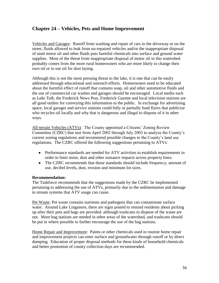# **Chapter 24 – Vehicles, Pets and Home Improvement**

Vehicles and Garages: Runoff from washing and repair of cars in the driveway or on the street, fluids allowed to leak from un-repaired vehicles and/or the inappropriate disposal of used motor oil and other fluids puts harmful chemicals into surface and ground water supplies. Most of the threat from inappropriate disposal of motor oil in this watershed probably comes from the more rural homeowners who are more likely to change their own oil or to use oil for dust laying.

Although this is not the most pressing threat to the lake, it is one that can be easily addressed through educational and outreach efforts. Homeowners need to be educated about the harmful effect of runoff that contains soap, oil and other automotive fluids and the use of commercial car washes and garages should be encouraged. Local media such as *Lake Talk*, the Frederick News Post, Frederick Gazette and local television stations are all good outlets for conveying this information to the public. In exchange for advertising space, local garages and service stations could fully or partially fund flyers that publicize who recycles oil locally and why that is dangerous and illegal to dispose of it in other ways.

All-terrain Vehicles (ATVs): The County appointed a Citizens' Zoning Review Committee (CZRC) that met from April 2002 through July 2003 to analyze the County's current zoning regulations and recommend possible changes to the County's land use regulations. The CZRC offered the following suggestions pertaining to ATVs:

- Performance standards are needed for ATV activities to establish requirements in order to limit noise, dust and other nuisance impacts across property lines.
- The CZRC recommends that those standards should include frequency, amount of use, decibel levels, dust, erosion and minimum lot sizes.

### **Recommendation:**

The Taskforce recommends that the suggestions made by the CZRC be implemented pertaining to addressing the use of ATVs, primarily due to the sedimentation and damage to stream systems that ATV usage can cause.

Pet Waste: Pet waste contains nutrients and pathogens that can contaminate surface water. Around Lake Linganore, there are signs posted to remind residents about picking up after their pets and bags are provided–although trashcans to dispose of the waste are not. More bag stations are needed in other areas of the watershed, and trashcans should be put in where possible to further encourage the use of the bag stations.

Home Repair and Improvement: Paints or other chemicals used in routine home repair and improvement projects can enter surface and groundwater through runoff or by direct dumping. Education of proper disposal methods for these kinds of household chemicals and better promotion of county collection days are recommended.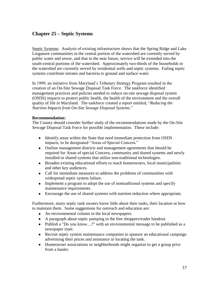# **Chapter 25 – Septic Systems**

Septic Systems: Analysis of existing infrastructure shows that the Spring Ridge and Lake Linganore communities in the central portion of the watershed are currently served by public water and sewer, and that in the near future, service will be extended into the south-central portions of the watershed. Approximately two-thirds of the households in the watershed are currently served by residential wells and septic systems. Failing septic systems contribute nitrates and bacteria to ground and surface water.

In 1999, an initiative from Maryland's Tributary Strategy Program resulted in the creation of an On-Site Sewage Disposal Task Force. The taskforce identified management practices and policies needed to reduce on-site sewage disposal system (OSDS) impacts to protect public health, the health of the environment and the overall quality of life in Maryland. The taskforce created a report entitled, "Reducing the *Nutrient Impacts from On-Site Sewage Disposal Systems*.‖

### **Recommendation:**

The County should consider further study of the recommendations made by the On-Site Sewage Disposal Task Force for possible implementation. These include:

- Identify areas within the State that need immediate protection from OSDS impacts, to be designated "Areas of Special Concern."
- Outline management districts and management agreements that should be required for Areas of special Concern, community and shared systems and newly installed or shared systems that utilize non-traditional technologies.
- Broaden existing educational efforts to reach homeowners, local municipalities and other key audiences.
- Call for immediate measures to address the problems of communities with widespread septic system failure.
- Implement a program to adopt the use of nontraditional systems and specify maintenance requirements.
- Encourage the use of shared systems with nutrient reduction where appropriate.

Furthermore, many septic tank owners know little about their tanks, their location or how to maintain them. Some suggestions for outreach and education are:

- An environmental column in the local newspapers.
- A paragraph about septic pumping in the free shoppers/trader handout.
- Publish a "Do you know....?" with an environmental message to be published as a newspaper inset.
- Recruit septic system maintenance companies to sponsor an educational campaign advertising their prices and assistance in locating the tank.
- Homeowner associations or neighborhoods might organize to get a group price from a hauler.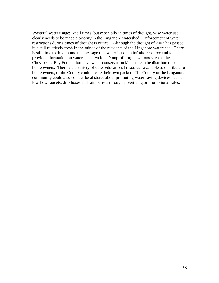Wasteful water usage: At all times, but especially in times of drought, wise water use clearly needs to be made a priority in the Linganore watershed. Enforcement of water restrictions during times of drought is critical. Although the drought of 2002 has passed, it is still relatively fresh in the minds of the residents of the Linganore watershed. There is still time to drive home the message that water is not an infinite resource and to provide information on water conservation. Nonprofit organizations such as the Chesapeake Bay Foundation have water conservation kits that can be distributed to homeowners. There are a variety of other educational resources available to distribute to homeowners, or the County could create their own packet. The County or the Linganore community could also contact local stores about promoting water saving devices such as low flow faucets, drip hoses and rain barrels through advertising or promotional sales.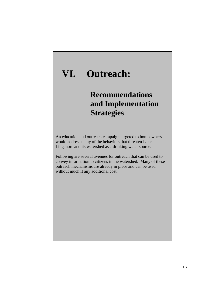# **VI. Outreach:**

# **Recommendations and Implementation Strategies**

An education and outreach campaign targeted to homeowners would address many of the behaviors that threaten Lake Linganore and its watershed as a drinking water source.

Following are several avenues for outreach that can be used to convey information to citizens in the watershed. Many of these outreach mechanisms are already in place and can be used without much if any additional cost.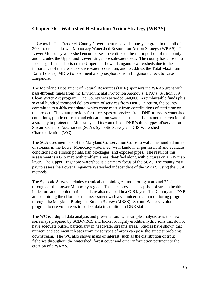# **Chapter 26 – Watershed Restoration Action Strategy (WRAS)**

In General: The Frederick County Government received a one-year grant in the fall of 2002 to create a Lower Monocacy Watershed Restoration Action Strategy (WRAS). The Lower Monocacy watershed encompasses the entire southeastern portion of the county and includes the Upper and Lower Linganore subwatersheds. The county has chosen to focus significant efforts on the Upper and Lower Linganore watersheds due to the importance of the areas to source water protection, and to address the Total Maximum Daily Loads (TMDLs) of sediment and phosphorus from Linganore Creek to Lake Linganore.

The Maryland Department of Natural Resources (DNR) sponsors the WRAS grant with pass-through funds from the Environmental Protection Agency's (EPA's) Section 319 Clean Water Act program. The County was awarded \$40,000 in reimbursable funds plus several hundred thousand dollars worth of services from DNR. In return, the county committed to a 40% cost-share, which came mostly from contributions of staff time on the project. The grant provides for three types of services from DNR to assess watershed conditions, public outreach and education on watershed-related issues and the creation of a strategy to protect the Monocacy and its watershed. DNR's three types of services are a Stream Corridor Assessment (SCA), Synoptic Survey and GIS Watershed Characterization (WC).

The SCA uses members of the Maryland Conservation Corps to walk one hundred miles of streams in the Lower Monocacy watershed (with landowner permission) and evaluate conditions like erosion points, fish blockages, and exposed pipes. The result of this assessment is a GIS map with problem areas identified along with pictures on a GIS map layer. The Upper Linganore watershed is a primary focus of the SCA. The county may pay to assess the Lower Linganore Watershed independent of the WRAS, using the SCA methods.

The Synoptic Survey includes chemical and biological monitoring at around 70 sites throughout the Lower Monocacy region. The sites provide a snapshot of stream health indicators at one point in time and are also mapped in a GIS layer. The County and DNR are combining the efforts of this assessment with a volunteer stream monitoring program through the Maryland Biological Stream Survey (MBSS) "Stream Waders" volunteer program to use volunteers to collect data in addition to DNR staff.

The WC is a digital data analysis and presentation. One sample analysis uses the new soils maps prepared by SCD/NRCS and looks for highly erodible/hydric soils that do not have adequate buffer, particularly in headwater streams areas. Studies have shown that nutrient and sediment releases from these types of areas can pose the greatest problems downstream. The WC also shows maps of interest, such as the distribution of trout fisheries throughout the watershed, forest cover and other information pertinent to the creation of a WRAS.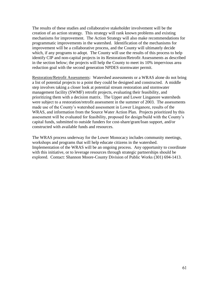The results of these studies and collaborative stakeholder involvement will be the creation of an action strategy. This strategy will rank known problems and existing mechanisms for improvement. The Action Strategy will also make recommendations for programmatic improvements in the watershed. Identification of the mechanisms for improvement will be a collaborative process, and the County will ultimately decide which, if any programs to adopt. The County will use the results of this process to help identify CIP and non-capital projects in its Restoration/Retrofit Assessments as described in the section below; the projects will help the County to meet its 10% impervious area reduction goal with the second generation NPDES stormwater permit.

Restoration/Retrofit Assessments: Watershed assessments or a WRAS alone do not bring a list of potential projects to a point they could be designed and constructed. A middle step involves taking a closer look at potential stream restoration and stormwater management facility (SWMF) retrofit projects, evaluating their feasibility, and prioritizing them with a decision matrix. The Upper and Lower Linganore watersheds were subject to a restoration/retrofit assessment in the summer of 2003. The assessments made use of the County's watershed assessment in Lower Linganore, results of the WRAS, and information from the Source Water Action Plan. Projects prioritized by this assessment will be evaluated for feasibility, proposed for design/build with the County's capital funds, submitted to outside funders for cost-share/grant/loan support, and/or constructed with available funds and resources.

The WRAS process underway for the Lower Monocacy includes community meetings, workshops and programs that will help educate citizens in the watershed. Implementation of the WRAS will be an ongoing process. Any opportunity to coordinate with this initiative, or to leverage resources through strategic partnerships should be explored. Contact: Shannon Moore-County Division of Public Works (301) 694-1413.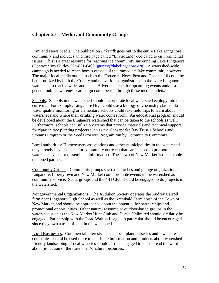# **Chapter 27 – Media and Community Groups**

Print and News Media: The publication *Laketalk* goes out to the entire Lake Linganore community and includes an entire page called "EnviroLine" dedicated to environmental issues. This is a great resource for reaching the community surrounding Lake Linganore. (Contact : Joy Gurley 301-831-6400, [jgurley@lakelinganore.org\)](mailto:jgurley@lakelinganore.org). A watershed-wide campaign is needed to reach homes outside of the immediate lake community however. The major local media outlets such as the Frederick News Post and Channel 10 could be better utilized by both the County and the various organizations in the Lake Linganore watershed to reach a wider audience. Advertisements for upcoming events and/or a general public awareness campaign could be run through these media outlets.

Schools: Schools in the watershed should incorporate local watershed ecology into their curricula. For example, Linganore High could use a biology or chemistry class to do water quality monitoring or elementary schools could take field trips to learn about watersheds and where their drinking water comes from. An educational program should be developed about the Linganore watershed that can be taken to the schools as well. Furthermore, schools can utilize programs that provide materials and technical support for riparian tree planting projects such as the Chesapeake Bay Trust's Schools and Streams Program or the Seed Growout Program run by Community Commons.

Local authorities: Homeowners associations and other municipalities in the watershed may already have avenues for community outreach that can be used to promote watershed events or disseminate information. The Town of New Market is one notable untapped partner.

Community Groups: Community groups such as churches and grange organizations in Linganore, Libertytown and New Market could promote events in the watershed as community service. Scout groups and the 4-H Club should be engaged to do projects in the watershed.

Nongovernmental Organizations: The Audubon Society operates the Audrey Carroll farm near Linganore High School as well as the Archibald Farm north of the Town of New Market, and should be approached about the potential for partnerships and promotional opportunities. Other natural resource or outdoor-based groups in the watershed such as the New Market Hunt Club and Ducks Unlimited should similarly be engaged. Partnership with the Isaac Walton League in particular should be encouraged since they own a tract of land in the watershed.

Local Businesses: Commercial interests such as local plant nurseries and lawn care companies should be used more to distribute information and products about watershedfriendly landscaping. Local wineries should also be engaged to help spread the word about protection of the watershed's natural resources.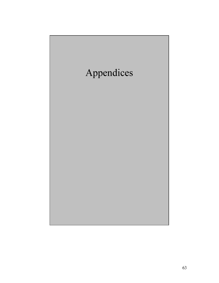